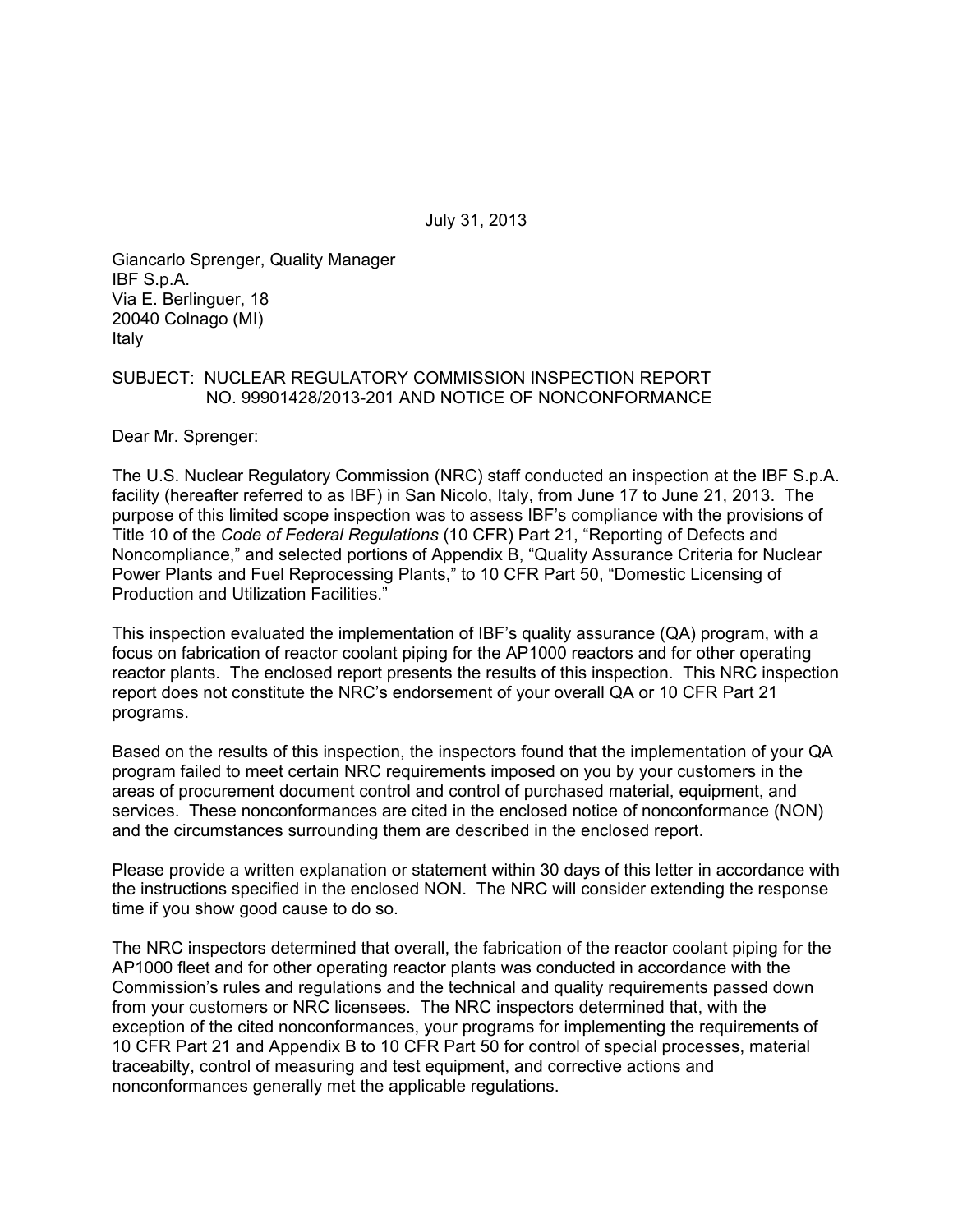July 31, 2013

Giancarlo Sprenger, Quality Manager IBF S.p.A. Via E. Berlinguer, 18 20040 Colnago (MI) Italy

#### SUBJECT: NUCLEAR REGULATORY COMMISSION INSPECTION REPORT NO. 99901428/2013-201 AND NOTICE OF NONCONFORMANCE

Dear Mr. Sprenger:

The U.S. Nuclear Regulatory Commission (NRC) staff conducted an inspection at the IBF S.p.A. facility (hereafter referred to as IBF) in San Nicolo, Italy, from June 17 to June 21, 2013. The purpose of this limited scope inspection was to assess IBF's compliance with the provisions of Title 10 of the *Code of Federal Regulations* (10 CFR) Part 21, "Reporting of Defects and Noncompliance," and selected portions of Appendix B, "Quality Assurance Criteria for Nuclear Power Plants and Fuel Reprocessing Plants," to 10 CFR Part 50, "Domestic Licensing of Production and Utilization Facilities."

This inspection evaluated the implementation of IBF's quality assurance (QA) program, with a focus on fabrication of reactor coolant piping for the AP1000 reactors and for other operating reactor plants. The enclosed report presents the results of this inspection. This NRC inspection report does not constitute the NRC's endorsement of your overall QA or 10 CFR Part 21 programs.

Based on the results of this inspection, the inspectors found that the implementation of your QA program failed to meet certain NRC requirements imposed on you by your customers in the areas of procurement document control and control of purchased material, equipment, and services. These nonconformances are cited in the enclosed notice of nonconformance (NON) and the circumstances surrounding them are described in the enclosed report.

Please provide a written explanation or statement within 30 days of this letter in accordance with the instructions specified in the enclosed NON. The NRC will consider extending the response time if you show good cause to do so.

The NRC inspectors determined that overall, the fabrication of the reactor coolant piping for the AP1000 fleet and for other operating reactor plants was conducted in accordance with the Commission's rules and regulations and the technical and quality requirements passed down from your customers or NRC licensees. The NRC inspectors determined that, with the exception of the cited nonconformances, your programs for implementing the requirements of 10 CFR Part 21 and Appendix B to 10 CFR Part 50 for control of special processes, material traceabilty, control of measuring and test equipment, and corrective actions and nonconformances generally met the applicable regulations.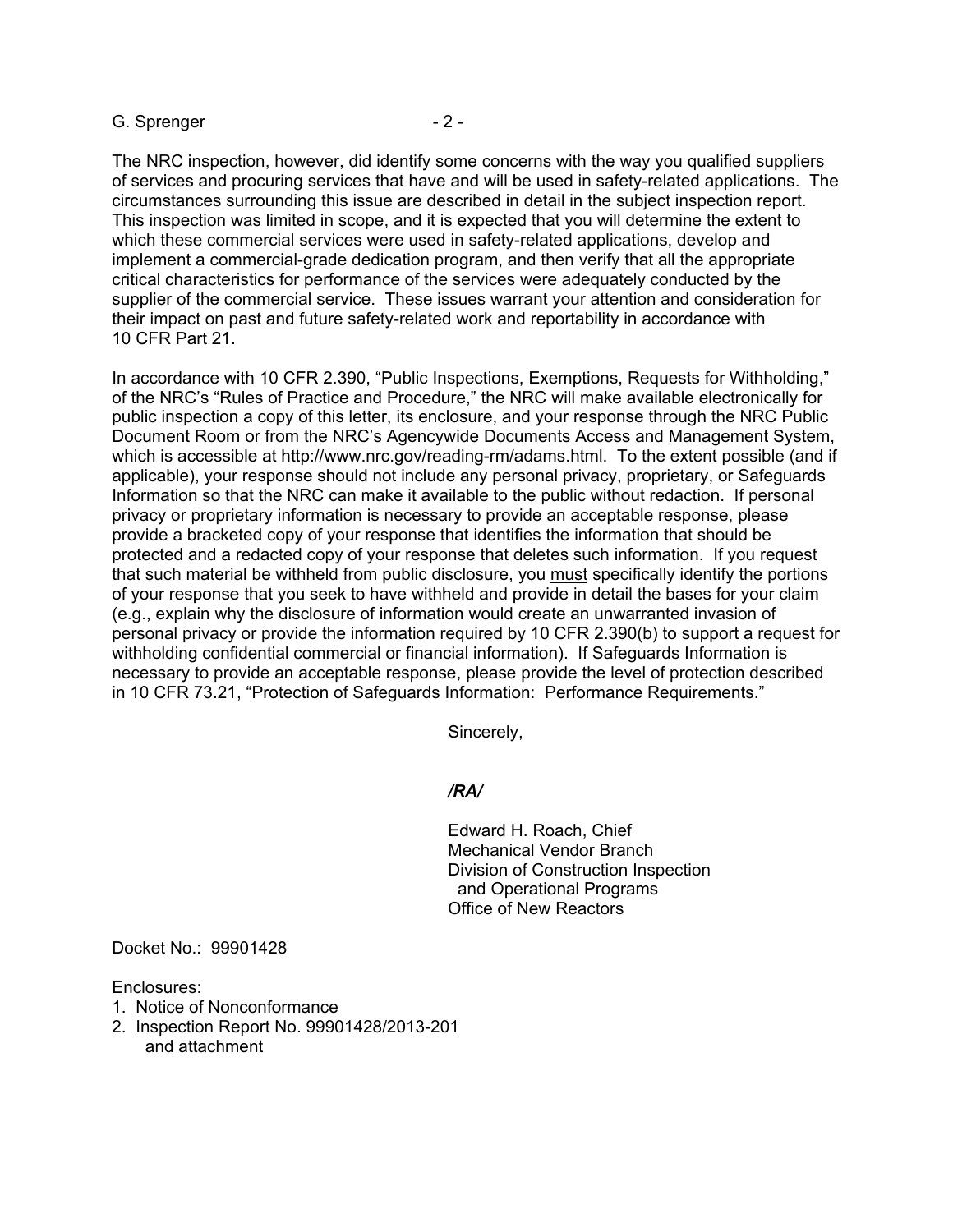#### G. Sprenger - 2 -

The NRC inspection, however, did identify some concerns with the way you qualified suppliers of services and procuring services that have and will be used in safety-related applications. The circumstances surrounding this issue are described in detail in the subject inspection report. This inspection was limited in scope, and it is expected that you will determine the extent to which these commercial services were used in safety-related applications, develop and implement a commercial-grade dedication program, and then verify that all the appropriate critical characteristics for performance of the services were adequately conducted by the supplier of the commercial service. These issues warrant your attention and consideration for their impact on past and future safety-related work and reportability in accordance with 10 CFR Part 21.

In accordance with 10 CFR 2.390, "Public Inspections, Exemptions, Requests for Withholding," of the NRC's "Rules of Practice and Procedure," the NRC will make available electronically for public inspection a copy of this letter, its enclosure, and your response through the NRC Public Document Room or from the NRC's Agencywide Documents Access and Management System, which is accessible at http://www.nrc.gov/reading-rm/adams.html. To the extent possible (and if applicable), your response should not include any personal privacy, proprietary, or Safeguards Information so that the NRC can make it available to the public without redaction. If personal privacy or proprietary information is necessary to provide an acceptable response, please provide a bracketed copy of your response that identifies the information that should be protected and a redacted copy of your response that deletes such information. If you request that such material be withheld from public disclosure, you must specifically identify the portions of your response that you seek to have withheld and provide in detail the bases for your claim (e.g., explain why the disclosure of information would create an unwarranted invasion of personal privacy or provide the information required by 10 CFR 2.390(b) to support a request for withholding confidential commercial or financial information). If Safeguards Information is necessary to provide an acceptable response, please provide the level of protection described in 10 CFR 73.21, "Protection of Safeguards Information: Performance Requirements."

Sincerely,

#### */RA/*

Edward H. Roach, Chief Mechanical Vendor Branch Division of Construction Inspection and Operational Programs Office of New Reactors

Docket No.: 99901428

Enclosures:

- 1. Notice of Nonconformance
- 2. Inspection Report No. 99901428/2013-201 and attachment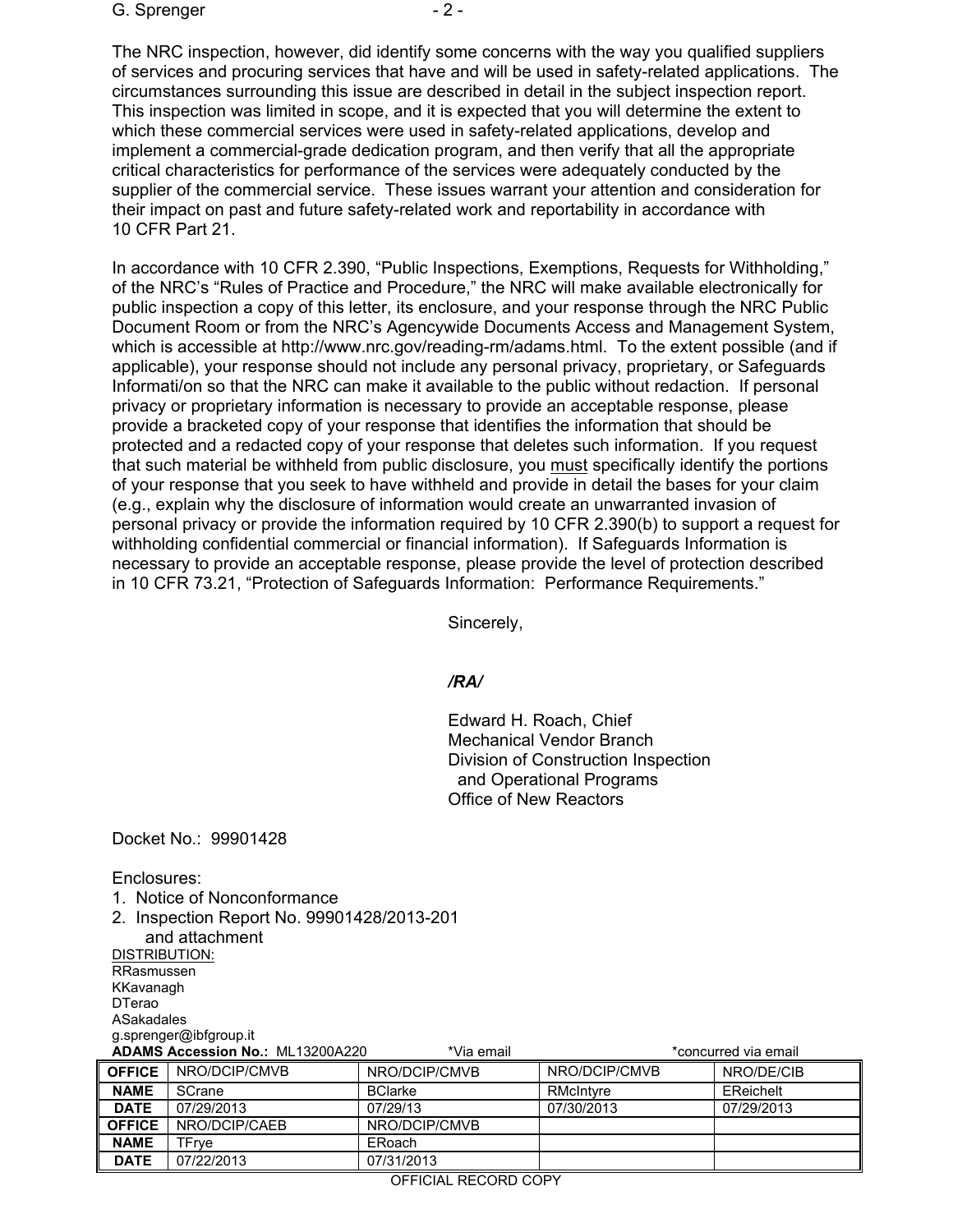#### G. Sprenger  $-2 -$

The NRC inspection, however, did identify some concerns with the way you qualified suppliers of services and procuring services that have and will be used in safety-related applications. The circumstances surrounding this issue are described in detail in the subject inspection report. This inspection was limited in scope, and it is expected that you will determine the extent to which these commercial services were used in safety-related applications, develop and implement a commercial-grade dedication program, and then verify that all the appropriate critical characteristics for performance of the services were adequately conducted by the supplier of the commercial service. These issues warrant your attention and consideration for their impact on past and future safety-related work and reportability in accordance with 10 CFR Part 21.

In accordance with 10 CFR 2.390, "Public Inspections, Exemptions, Requests for Withholding," of the NRC's "Rules of Practice and Procedure," the NRC will make available electronically for public inspection a copy of this letter, its enclosure, and your response through the NRC Public Document Room or from the NRC's Agencywide Documents Access and Management System, which is accessible at http://www.nrc.gov/reading-rm/adams.html. To the extent possible (and if applicable), your response should not include any personal privacy, proprietary, or Safeguards Informati/on so that the NRC can make it available to the public without redaction. If personal privacy or proprietary information is necessary to provide an acceptable response, please provide a bracketed copy of your response that identifies the information that should be protected and a redacted copy of your response that deletes such information. If you request that such material be withheld from public disclosure, you must specifically identify the portions of your response that you seek to have withheld and provide in detail the bases for your claim (e.g., explain why the disclosure of information would create an unwarranted invasion of personal privacy or provide the information required by 10 CFR 2.390(b) to support a request for withholding confidential commercial or financial information). If Safeguards Information is necessary to provide an acceptable response, please provide the level of protection described in 10 CFR 73.21, "Protection of Safeguards Information: Performance Requirements."

Sincerely,

### */RA/*

Edward H. Roach, Chief Mechanical Vendor Branch Division of Construction Inspection and Operational Programs Office of New Reactors

Docket No.: 99901428

Enclosures:

- 1. Notice of Nonconformance
- 2. Inspection Report No. 99901428/2013-201

 and attachment DISTRIBUTION: RRasmussen

KKavanagh DTerao

ASakadales

g.sprenger@ibfgroup.it

**ADAMS Accession No.:** ML13200A220 \*Via email \*concurred via email

**OFFICE** NRO/DCIP/CMVB NRO/DCIP/CMVB NRO/DCIP/CMVB NRO/DE/CIB **NAME** SCrane **BClarke** BClarke RMcIntyre **EReichelt DATE** 07/29/2013 07/29/13 07/30/2013 07/29/2013 **OFFICE** NRO/DCIP/CAEB NRO/DCIP/CMVB **NAME** | TFrye | ERoach **DATE** 07/22/2013 07/31/2013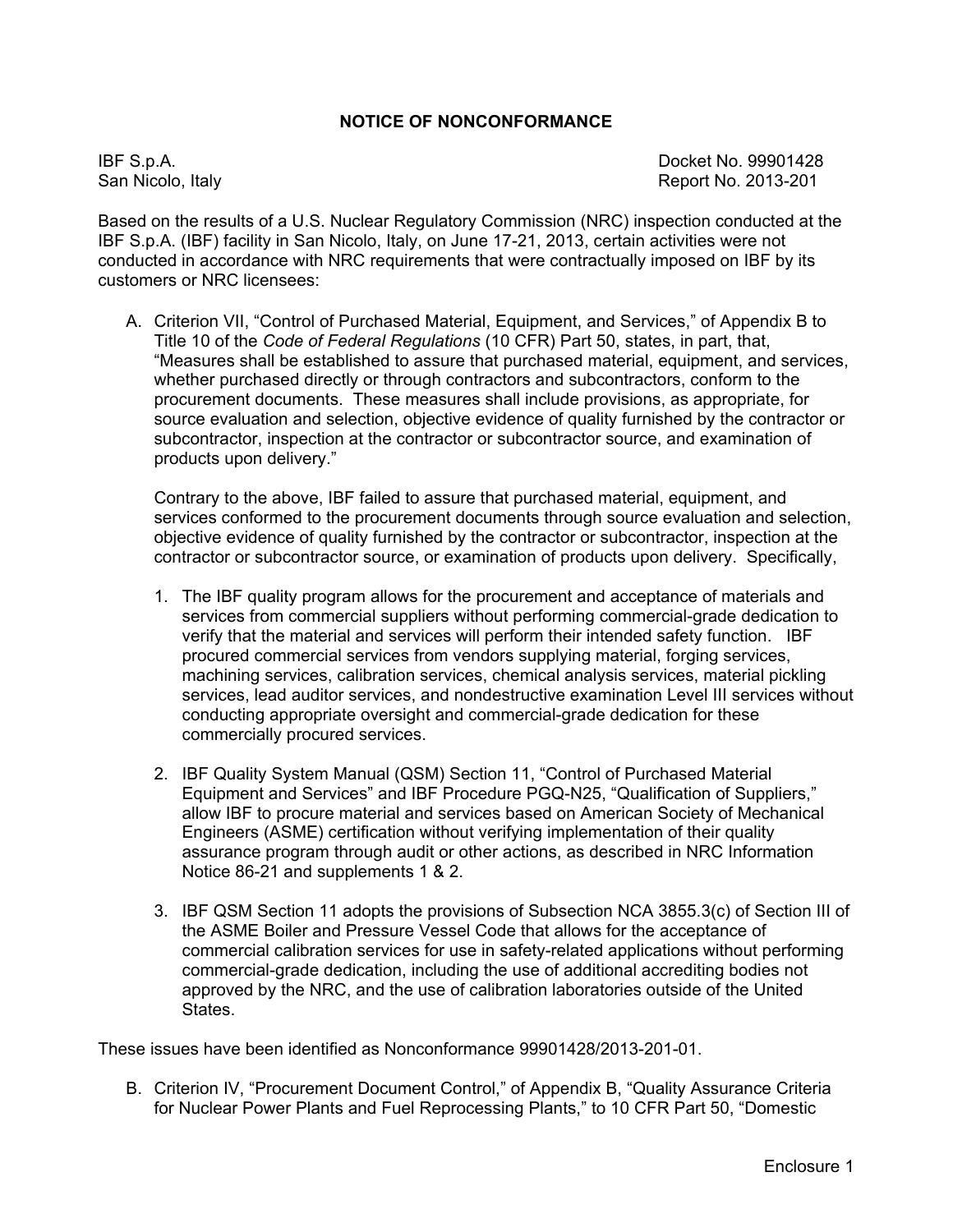### **NOTICE OF NONCONFORMANCE**

IBF S.p.A. Docket No. 99901428 San Nicolo, Italy **Report No. 2013-201** 

Based on the results of a U.S. Nuclear Regulatory Commission (NRC) inspection conducted at the IBF S.p.A. (IBF) facility in San Nicolo, Italy, on June 17-21, 2013, certain activities were not conducted in accordance with NRC requirements that were contractually imposed on IBF by its customers or NRC licensees:

A. Criterion VII, "Control of Purchased Material, Equipment, and Services," of Appendix B to Title 10 of the *Code of Federal Regulations* (10 CFR) Part 50, states, in part, that, "Measures shall be established to assure that purchased material, equipment, and services, whether purchased directly or through contractors and subcontractors, conform to the procurement documents. These measures shall include provisions, as appropriate, for source evaluation and selection, objective evidence of quality furnished by the contractor or subcontractor, inspection at the contractor or subcontractor source, and examination of products upon delivery."

Contrary to the above, IBF failed to assure that purchased material, equipment, and services conformed to the procurement documents through source evaluation and selection, objective evidence of quality furnished by the contractor or subcontractor, inspection at the contractor or subcontractor source, or examination of products upon delivery. Specifically,

- 1. The IBF quality program allows for the procurement and acceptance of materials and services from commercial suppliers without performing commercial-grade dedication to verify that the material and services will perform their intended safety function. IBF procured commercial services from vendors supplying material, forging services, machining services, calibration services, chemical analysis services, material pickling services, lead auditor services, and nondestructive examination Level III services without conducting appropriate oversight and commercial-grade dedication for these commercially procured services.
- 2. IBF Quality System Manual (QSM) Section 11, "Control of Purchased Material Equipment and Services" and IBF Procedure PGQ-N25, "Qualification of Suppliers," allow IBF to procure material and services based on American Society of Mechanical Engineers (ASME) certification without verifying implementation of their quality assurance program through audit or other actions, as described in NRC Information Notice 86-21 and supplements 1 & 2.
- 3. IBF QSM Section 11 adopts the provisions of Subsection NCA 3855.3(c) of Section III of the ASME Boiler and Pressure Vessel Code that allows for the acceptance of commercial calibration services for use in safety-related applications without performing commercial-grade dedication, including the use of additional accrediting bodies not approved by the NRC, and the use of calibration laboratories outside of the United States.

These issues have been identified as Nonconformance 99901428/2013-201-01.

B. Criterion IV, "Procurement Document Control," of Appendix B, "Quality Assurance Criteria for Nuclear Power Plants and Fuel Reprocessing Plants," to 10 CFR Part 50, "Domestic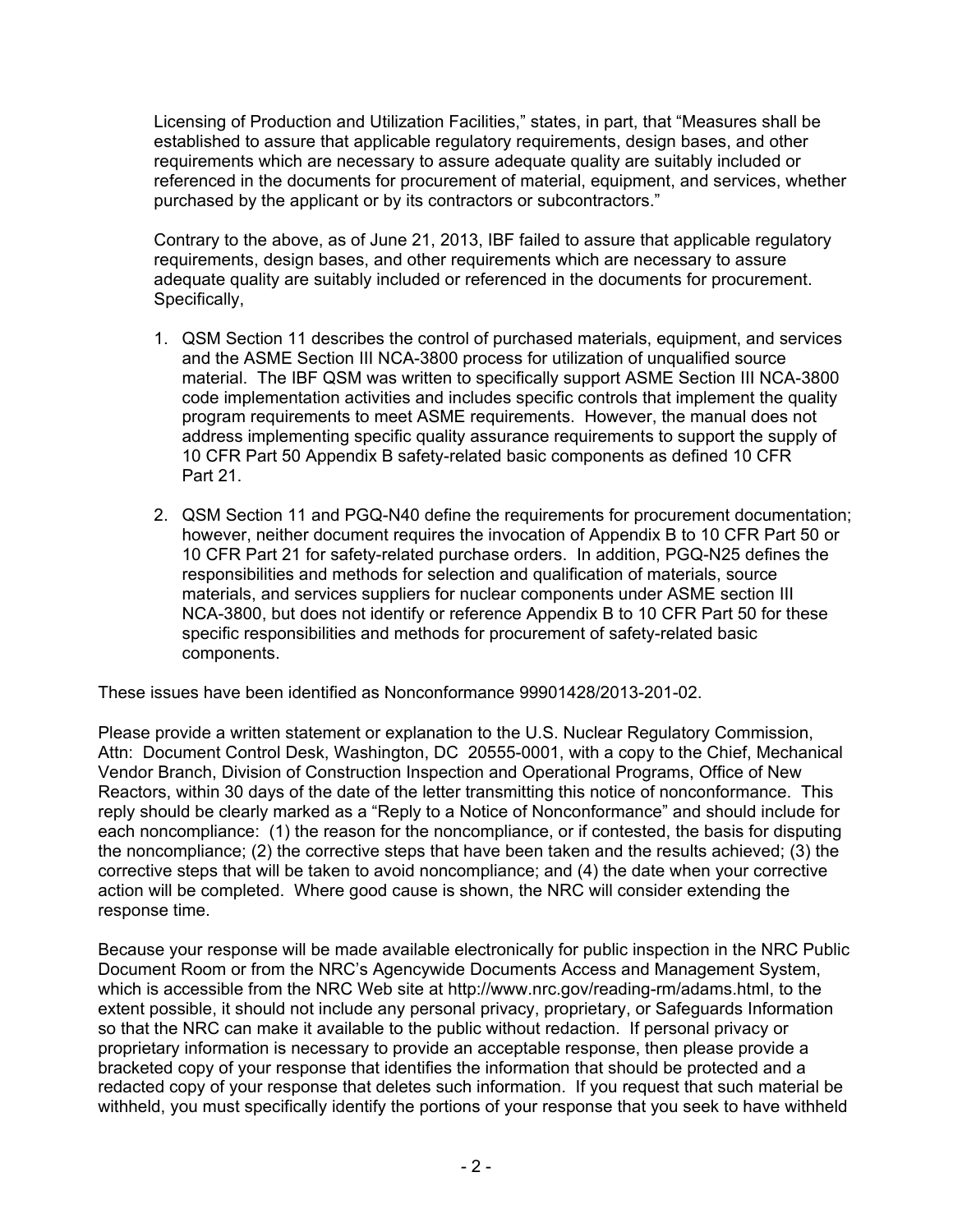Licensing of Production and Utilization Facilities," states, in part, that "Measures shall be established to assure that applicable regulatory requirements, design bases, and other requirements which are necessary to assure adequate quality are suitably included or referenced in the documents for procurement of material, equipment, and services, whether purchased by the applicant or by its contractors or subcontractors."

Contrary to the above, as of June 21, 2013, IBF failed to assure that applicable regulatory requirements, design bases, and other requirements which are necessary to assure adequate quality are suitably included or referenced in the documents for procurement. Specifically,

- 1. QSM Section 11 describes the control of purchased materials, equipment, and services and the ASME Section III NCA-3800 process for utilization of unqualified source material. The IBF QSM was written to specifically support ASME Section III NCA-3800 code implementation activities and includes specific controls that implement the quality program requirements to meet ASME requirements. However, the manual does not address implementing specific quality assurance requirements to support the supply of 10 CFR Part 50 Appendix B safety-related basic components as defined 10 CFR Part 21.
- 2. QSM Section 11 and PGQ-N40 define the requirements for procurement documentation; however, neither document requires the invocation of Appendix B to 10 CFR Part 50 or 10 CFR Part 21 for safety-related purchase orders. In addition, PGQ-N25 defines the responsibilities and methods for selection and qualification of materials, source materials, and services suppliers for nuclear components under ASME section III NCA-3800, but does not identify or reference Appendix B to 10 CFR Part 50 for these specific responsibilities and methods for procurement of safety-related basic components.

These issues have been identified as Nonconformance 99901428/2013-201-02.

Please provide a written statement or explanation to the U.S. Nuclear Regulatory Commission, Attn: Document Control Desk, Washington, DC 20555-0001, with a copy to the Chief, Mechanical Vendor Branch, Division of Construction Inspection and Operational Programs, Office of New Reactors, within 30 days of the date of the letter transmitting this notice of nonconformance. This reply should be clearly marked as a "Reply to a Notice of Nonconformance" and should include for each noncompliance: (1) the reason for the noncompliance, or if contested, the basis for disputing the noncompliance; (2) the corrective steps that have been taken and the results achieved; (3) the corrective steps that will be taken to avoid noncompliance; and (4) the date when your corrective action will be completed. Where good cause is shown, the NRC will consider extending the response time.

Because your response will be made available electronically for public inspection in the NRC Public Document Room or from the NRC's Agencywide Documents Access and Management System, which is accessible from the NRC Web site at http://www.nrc.gov/reading-rm/adams.html, to the extent possible, it should not include any personal privacy, proprietary, or Safeguards Information so that the NRC can make it available to the public without redaction. If personal privacy or proprietary information is necessary to provide an acceptable response, then please provide a bracketed copy of your response that identifies the information that should be protected and a redacted copy of your response that deletes such information. If you request that such material be withheld, you must specifically identify the portions of your response that you seek to have withheld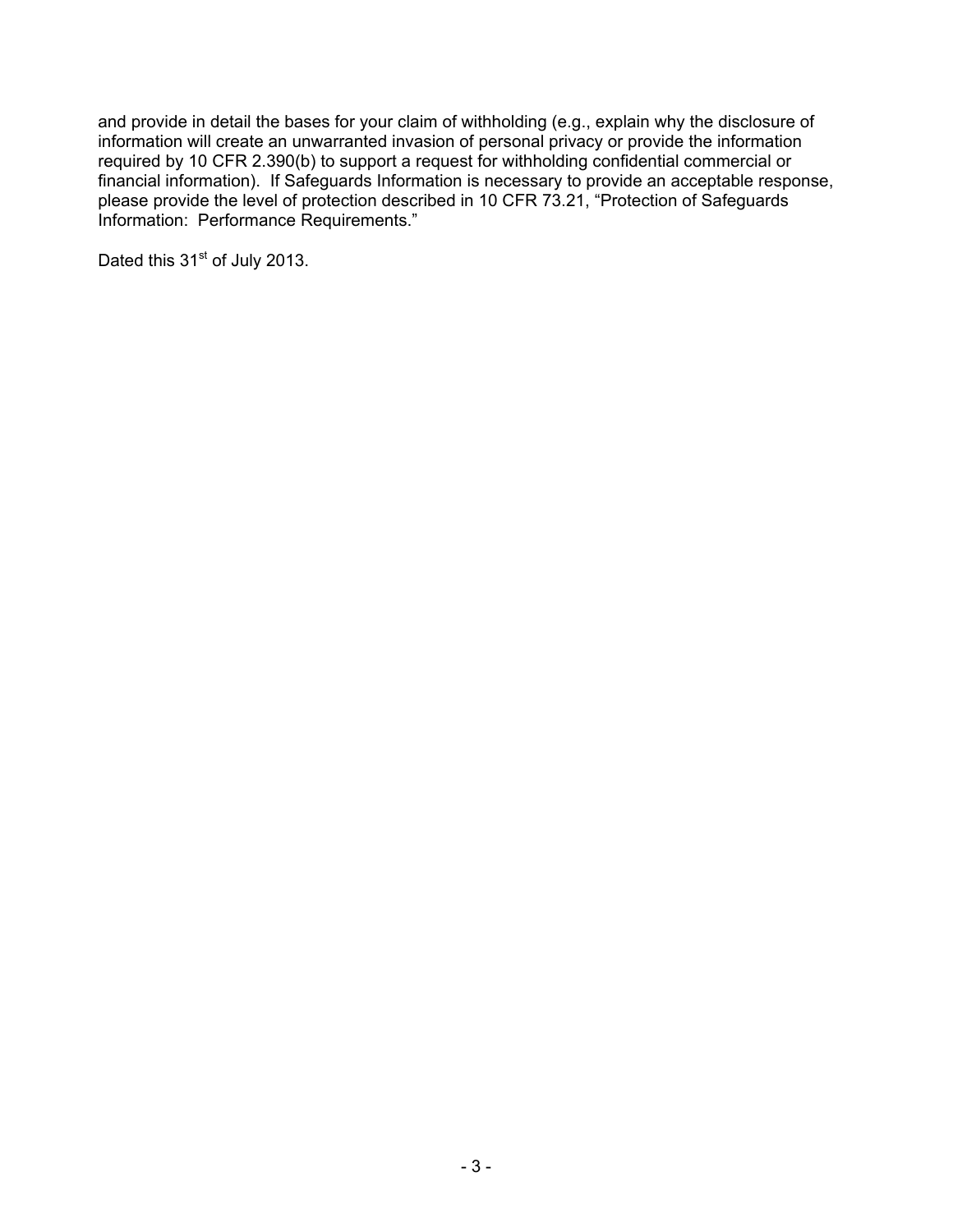and provide in detail the bases for your claim of withholding (e.g., explain why the disclosure of information will create an unwarranted invasion of personal privacy or provide the information required by 10 CFR 2.390(b) to support a request for withholding confidential commercial or financial information). If Safeguards Information is necessary to provide an acceptable response, please provide the level of protection described in 10 CFR 73.21, "Protection of Safeguards Information: Performance Requirements."

Dated this 31<sup>st</sup> of July 2013.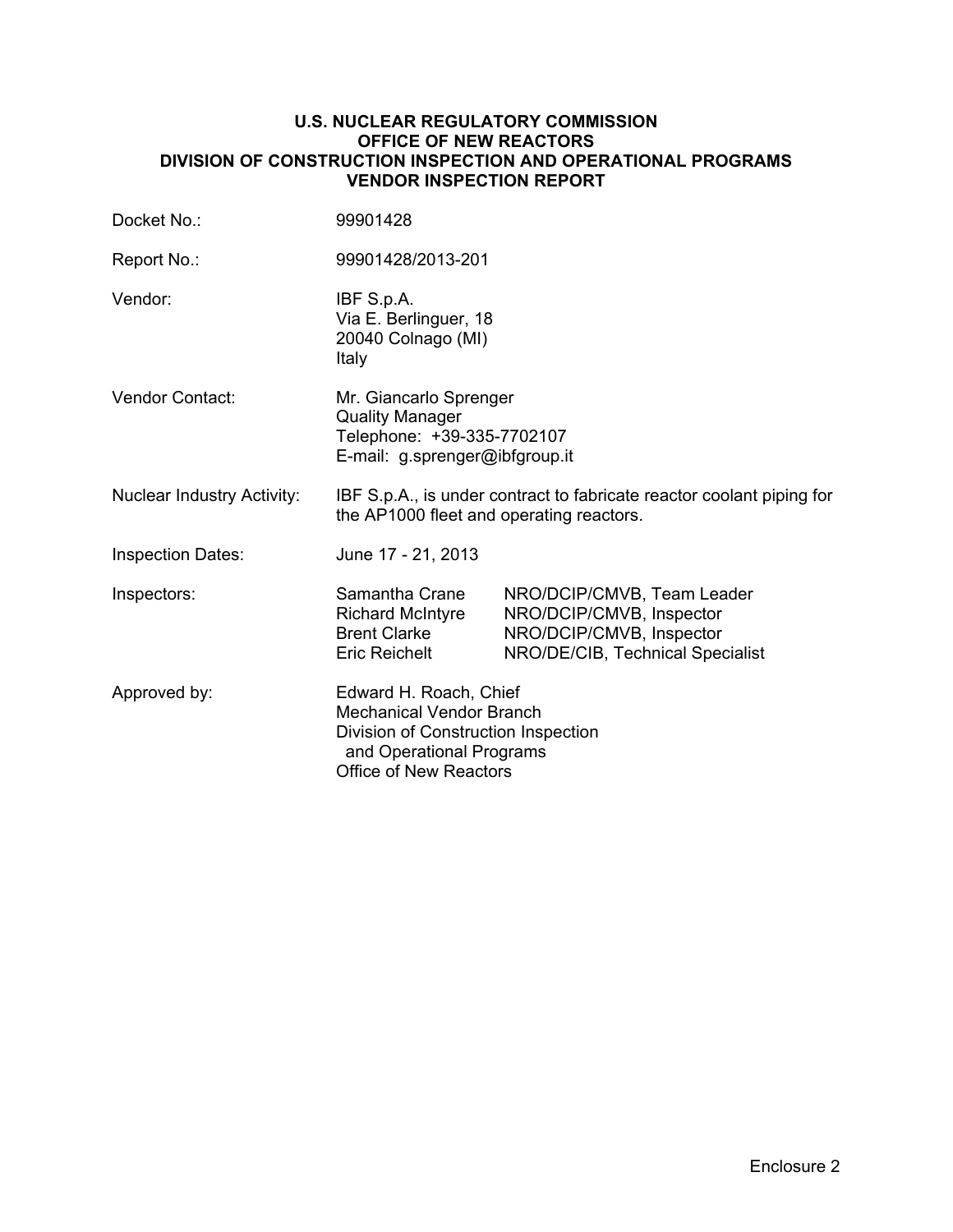#### **U.S. NUCLEAR REGULATORY COMMISSION OFFICE OF NEW REACTORS DIVISION OF CONSTRUCTION INSPECTION AND OPERATIONAL PROGRAMS VENDOR INSPECTION REPORT**

| Docket No.:                       | 99901428                                                                                                                                                      |                                                                                                                        |  |  |
|-----------------------------------|---------------------------------------------------------------------------------------------------------------------------------------------------------------|------------------------------------------------------------------------------------------------------------------------|--|--|
| Report No.:                       | 99901428/2013-201                                                                                                                                             |                                                                                                                        |  |  |
| Vendor:                           | IBF S.p.A.<br>Via E. Berlinguer, 18<br>20040 Colnago (MI)<br>Italy                                                                                            |                                                                                                                        |  |  |
| <b>Vendor Contact:</b>            | Mr. Giancarlo Sprenger<br><b>Quality Manager</b><br>Telephone: +39-335-7702107<br>E-mail: g.sprenger@ibfgroup.it                                              |                                                                                                                        |  |  |
| <b>Nuclear Industry Activity:</b> | IBF S.p.A., is under contract to fabricate reactor coolant piping for<br>the AP1000 fleet and operating reactors.                                             |                                                                                                                        |  |  |
| <b>Inspection Dates:</b>          | June 17 - 21, 2013                                                                                                                                            |                                                                                                                        |  |  |
| Inspectors:                       | Samantha Crane<br><b>Richard McIntyre</b><br><b>Brent Clarke</b><br><b>Eric Reichelt</b>                                                                      | NRO/DCIP/CMVB, Team Leader<br>NRO/DCIP/CMVB, Inspector<br>NRO/DCIP/CMVB, Inspector<br>NRO/DE/CIB, Technical Specialist |  |  |
| Approved by:                      | Edward H. Roach, Chief<br><b>Mechanical Vendor Branch</b><br>Division of Construction Inspection<br>and Operational Programs<br><b>Office of New Reactors</b> |                                                                                                                        |  |  |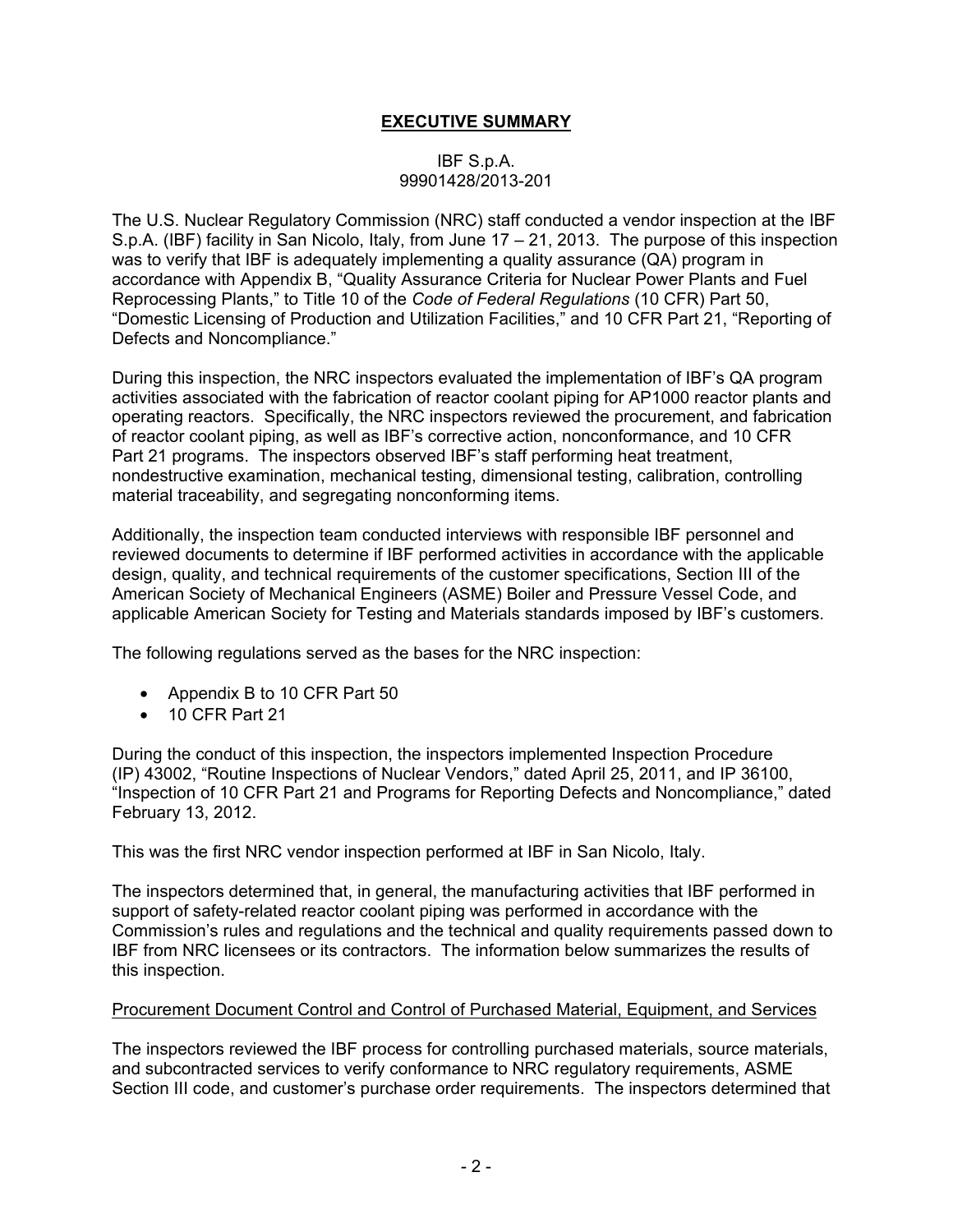## **EXECUTIVE SUMMARY**

### IBF S.p.A. 99901428/2013-201

The U.S. Nuclear Regulatory Commission (NRC) staff conducted a vendor inspection at the IBF S.p.A. (IBF) facility in San Nicolo, Italy, from June 17 – 21, 2013. The purpose of this inspection was to verify that IBF is adequately implementing a quality assurance (QA) program in accordance with Appendix B, "Quality Assurance Criteria for Nuclear Power Plants and Fuel Reprocessing Plants," to Title 10 of the *Code of Federal Regulations* (10 CFR) Part 50, "Domestic Licensing of Production and Utilization Facilities," and 10 CFR Part 21, "Reporting of Defects and Noncompliance."

During this inspection, the NRC inspectors evaluated the implementation of IBF's QA program activities associated with the fabrication of reactor coolant piping for AP1000 reactor plants and operating reactors. Specifically, the NRC inspectors reviewed the procurement, and fabrication of reactor coolant piping, as well as IBF's corrective action, nonconformance, and 10 CFR Part 21 programs. The inspectors observed IBF's staff performing heat treatment, nondestructive examination, mechanical testing, dimensional testing, calibration, controlling material traceability, and segregating nonconforming items.

Additionally, the inspection team conducted interviews with responsible IBF personnel and reviewed documents to determine if IBF performed activities in accordance with the applicable design, quality, and technical requirements of the customer specifications, Section III of the American Society of Mechanical Engineers (ASME) Boiler and Pressure Vessel Code, and applicable American Society for Testing and Materials standards imposed by IBF's customers.

The following regulations served as the bases for the NRC inspection:

- Appendix B to 10 CFR Part 50
- 10 CFR Part 21

During the conduct of this inspection, the inspectors implemented Inspection Procedure (IP) 43002, "Routine Inspections of Nuclear Vendors," dated April 25, 2011, and IP 36100, "Inspection of 10 CFR Part 21 and Programs for Reporting Defects and Noncompliance," dated February 13, 2012.

This was the first NRC vendor inspection performed at IBF in San Nicolo, Italy.

The inspectors determined that, in general, the manufacturing activities that IBF performed in support of safety-related reactor coolant piping was performed in accordance with the Commission's rules and regulations and the technical and quality requirements passed down to IBF from NRC licensees or its contractors. The information below summarizes the results of this inspection.

#### Procurement Document Control and Control of Purchased Material, Equipment, and Services

The inspectors reviewed the IBF process for controlling purchased materials, source materials, and subcontracted services to verify conformance to NRC regulatory requirements, ASME Section III code, and customer's purchase order requirements. The inspectors determined that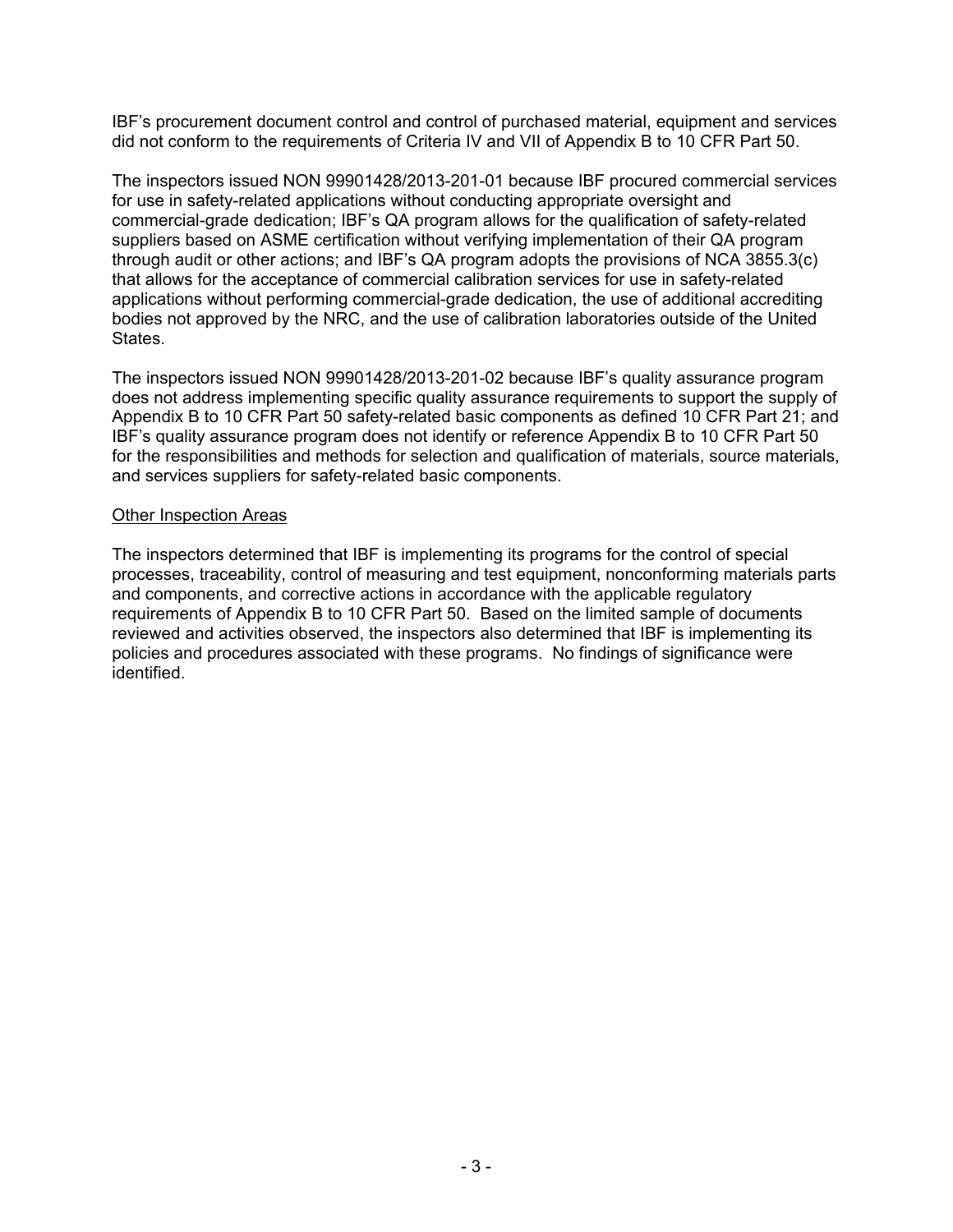IBF's procurement document control and control of purchased material, equipment and services did not conform to the requirements of Criteria IV and VII of Appendix B to 10 CFR Part 50.

The inspectors issued NON 99901428/2013-201-01 because IBF procured commercial services for use in safety-related applications without conducting appropriate oversight and commercial-grade dedication; IBF's QA program allows for the qualification of safety-related suppliers based on ASME certification without verifying implementation of their QA program through audit or other actions; and IBF's QA program adopts the provisions of NCA 3855.3(c) that allows for the acceptance of commercial calibration services for use in safety-related applications without performing commercial-grade dedication, the use of additional accrediting bodies not approved by the NRC, and the use of calibration laboratories outside of the United States.

The inspectors issued NON 99901428/2013-201-02 because IBF's quality assurance program does not address implementing specific quality assurance requirements to support the supply of Appendix B to 10 CFR Part 50 safety-related basic components as defined 10 CFR Part 21; and IBF's quality assurance program does not identify or reference Appendix B to 10 CFR Part 50 for the responsibilities and methods for selection and qualification of materials, source materials, and services suppliers for safety-related basic components.

#### Other Inspection Areas

The inspectors determined that IBF is implementing its programs for the control of special processes, traceability, control of measuring and test equipment, nonconforming materials parts and components, and corrective actions in accordance with the applicable regulatory requirements of Appendix B to 10 CFR Part 50. Based on the limited sample of documents reviewed and activities observed, the inspectors also determined that IBF is implementing its policies and procedures associated with these programs. No findings of significance were identified.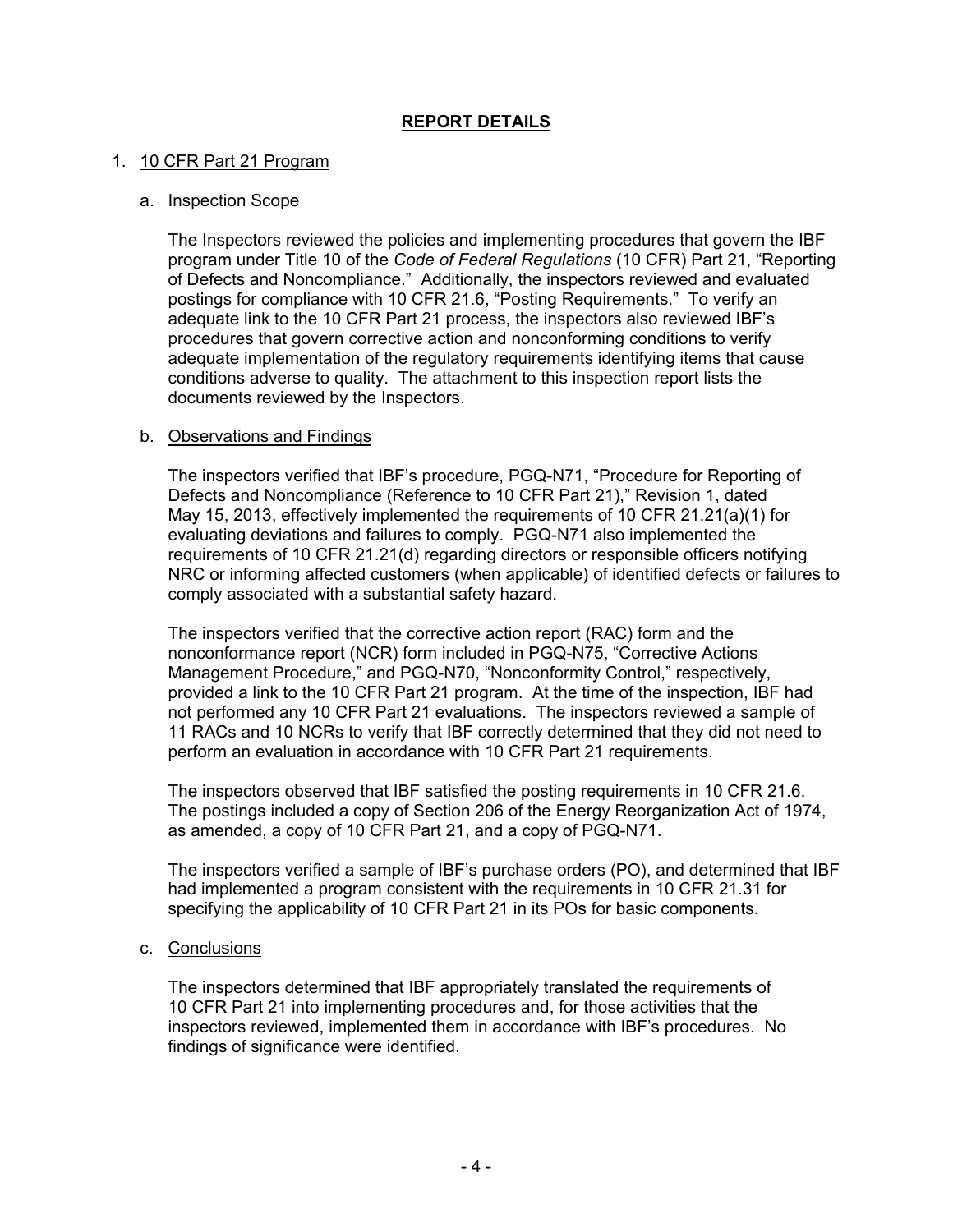## **REPORT DETAILS**

#### 1. 10 CFR Part 21 Program

#### a. Inspection Scope

The Inspectors reviewed the policies and implementing procedures that govern the IBF program under Title 10 of the *Code of Federal Regulations* (10 CFR) Part 21, "Reporting of Defects and Noncompliance." Additionally, the inspectors reviewed and evaluated postings for compliance with 10 CFR 21.6, "Posting Requirements." To verify an adequate link to the 10 CFR Part 21 process, the inspectors also reviewed IBF's procedures that govern corrective action and nonconforming conditions to verify adequate implementation of the regulatory requirements identifying items that cause conditions adverse to quality. The attachment to this inspection report lists the documents reviewed by the Inspectors.

#### b. Observations and Findings

The inspectors verified that IBF's procedure, PGQ-N71, "Procedure for Reporting of Defects and Noncompliance (Reference to 10 CFR Part 21)," Revision 1, dated May 15, 2013, effectively implemented the requirements of 10 CFR 21.21(a)(1) for evaluating deviations and failures to comply. PGQ-N71 also implemented the requirements of 10 CFR 21.21(d) regarding directors or responsible officers notifying NRC or informing affected customers (when applicable) of identified defects or failures to comply associated with a substantial safety hazard.

The inspectors verified that the corrective action report (RAC) form and the nonconformance report (NCR) form included in PGQ-N75, "Corrective Actions Management Procedure," and PGQ-N70, "Nonconformity Control," respectively, provided a link to the 10 CFR Part 21 program. At the time of the inspection, IBF had not performed any 10 CFR Part 21 evaluations. The inspectors reviewed a sample of 11 RACs and 10 NCRs to verify that IBF correctly determined that they did not need to perform an evaluation in accordance with 10 CFR Part 21 requirements.

The inspectors observed that IBF satisfied the posting requirements in 10 CFR 21.6. The postings included a copy of Section 206 of the Energy Reorganization Act of 1974, as amended, a copy of 10 CFR Part 21, and a copy of PGQ-N71.

The inspectors verified a sample of IBF's purchase orders (PO), and determined that IBF had implemented a program consistent with the requirements in 10 CFR 21.31 for specifying the applicability of 10 CFR Part 21 in its POs for basic components.

#### c. Conclusions

The inspectors determined that IBF appropriately translated the requirements of 10 CFR Part 21 into implementing procedures and, for those activities that the inspectors reviewed, implemented them in accordance with IBF's procedures. No findings of significance were identified.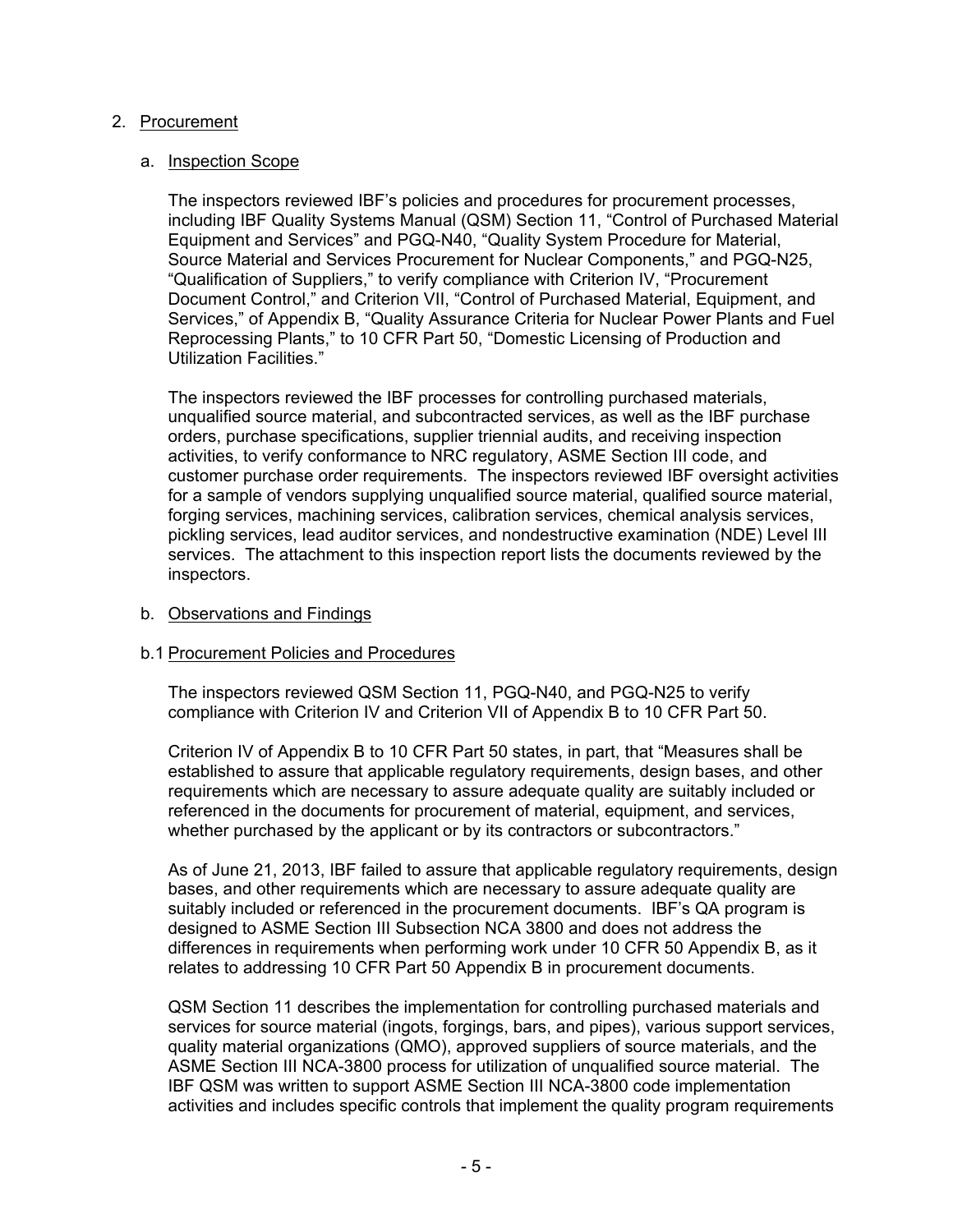### 2. Procurement

#### a. Inspection Scope

The inspectors reviewed IBF's policies and procedures for procurement processes, including IBF Quality Systems Manual (QSM) Section 11, "Control of Purchased Material Equipment and Services" and PGQ-N40, "Quality System Procedure for Material, Source Material and Services Procurement for Nuclear Components," and PGQ-N25, "Qualification of Suppliers," to verify compliance with Criterion IV, "Procurement Document Control," and Criterion VII, "Control of Purchased Material, Equipment, and Services," of Appendix B, "Quality Assurance Criteria for Nuclear Power Plants and Fuel Reprocessing Plants," to 10 CFR Part 50, "Domestic Licensing of Production and Utilization Facilities."

The inspectors reviewed the IBF processes for controlling purchased materials, unqualified source material, and subcontracted services, as well as the IBF purchase orders, purchase specifications, supplier triennial audits, and receiving inspection activities, to verify conformance to NRC regulatory, ASME Section III code, and customer purchase order requirements. The inspectors reviewed IBF oversight activities for a sample of vendors supplying unqualified source material, qualified source material, forging services, machining services, calibration services, chemical analysis services, pickling services, lead auditor services, and nondestructive examination (NDE) Level III services. The attachment to this inspection report lists the documents reviewed by the inspectors.

#### b. Observations and Findings

### b.1 Procurement Policies and Procedures

The inspectors reviewed QSM Section 11, PGQ-N40, and PGQ-N25 to verify compliance with Criterion IV and Criterion VII of Appendix B to 10 CFR Part 50.

Criterion IV of Appendix B to 10 CFR Part 50 states, in part, that "Measures shall be established to assure that applicable regulatory requirements, design bases, and other requirements which are necessary to assure adequate quality are suitably included or referenced in the documents for procurement of material, equipment, and services, whether purchased by the applicant or by its contractors or subcontractors."

 As of June 21, 2013, IBF failed to assure that applicable regulatory requirements, design bases, and other requirements which are necessary to assure adequate quality are suitably included or referenced in the procurement documents. IBF's QA program is designed to ASME Section III Subsection NCA 3800 and does not address the differences in requirements when performing work under 10 CFR 50 Appendix B, as it relates to addressing 10 CFR Part 50 Appendix B in procurement documents.

 QSM Section 11 describes the implementation for controlling purchased materials and services for source material (ingots, forgings, bars, and pipes), various support services, quality material organizations (QMO), approved suppliers of source materials, and the ASME Section III NCA-3800 process for utilization of unqualified source material. The IBF QSM was written to support ASME Section III NCA-3800 code implementation activities and includes specific controls that implement the quality program requirements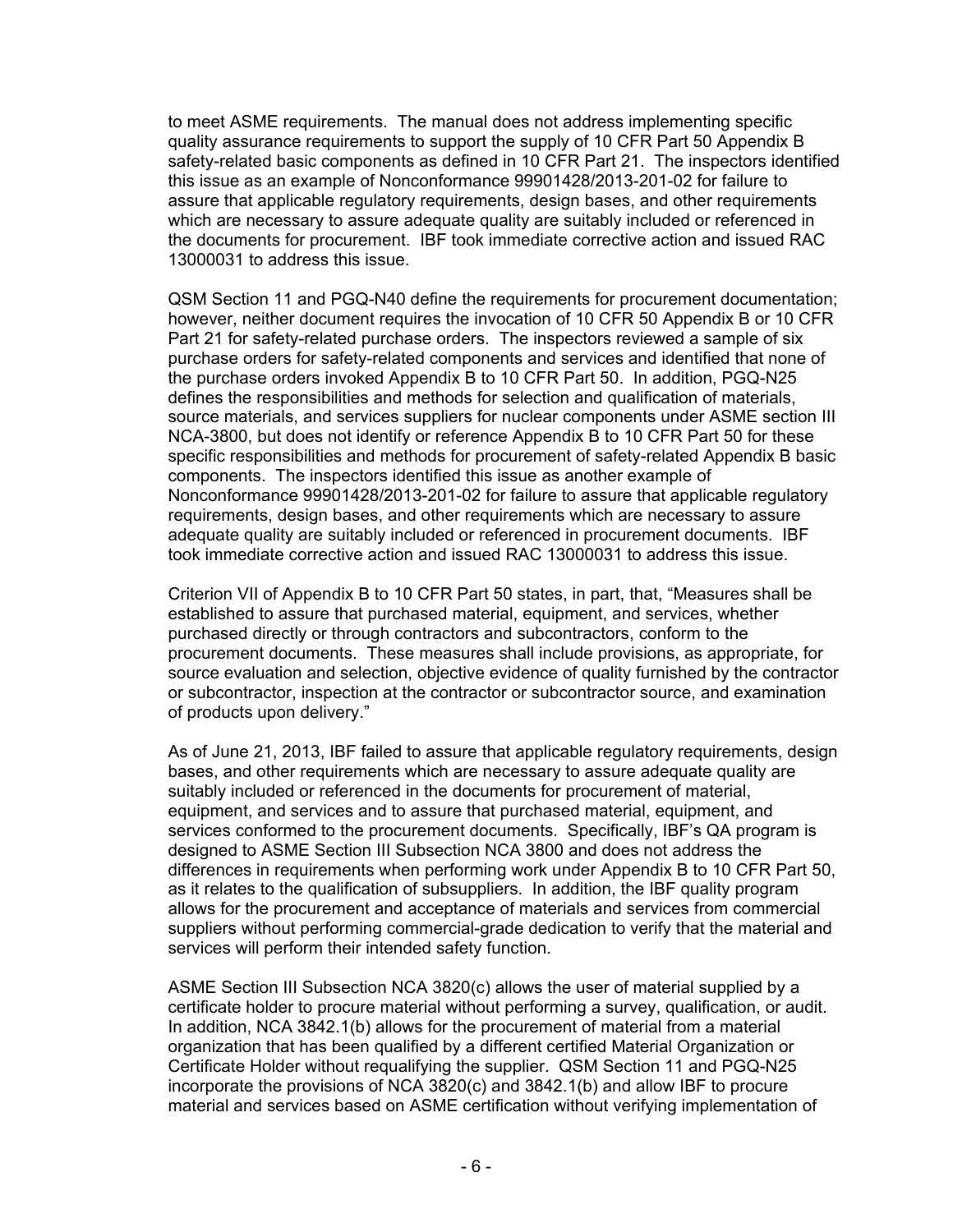to meet ASME requirements. The manual does not address implementing specific quality assurance requirements to support the supply of 10 CFR Part 50 Appendix B safety-related basic components as defined in 10 CFR Part 21. The inspectors identified this issue as an example of Nonconformance 99901428/2013-201-02 for failure to assure that applicable regulatory requirements, design bases, and other requirements which are necessary to assure adequate quality are suitably included or referenced in the documents for procurement. IBF took immediate corrective action and issued RAC 13000031 to address this issue.

QSM Section 11 and PGQ-N40 define the requirements for procurement documentation; however, neither document requires the invocation of 10 CFR 50 Appendix B or 10 CFR Part 21 for safety-related purchase orders. The inspectors reviewed a sample of six purchase orders for safety-related components and services and identified that none of the purchase orders invoked Appendix B to 10 CFR Part 50. In addition, PGQ-N25 defines the responsibilities and methods for selection and qualification of materials, source materials, and services suppliers for nuclear components under ASME section III NCA-3800, but does not identify or reference Appendix B to 10 CFR Part 50 for these specific responsibilities and methods for procurement of safety-related Appendix B basic components. The inspectors identified this issue as another example of Nonconformance 99901428/2013-201-02 for failure to assure that applicable regulatory requirements, design bases, and other requirements which are necessary to assure adequate quality are suitably included or referenced in procurement documents. IBF took immediate corrective action and issued RAC 13000031 to address this issue.

Criterion VII of Appendix B to 10 CFR Part 50 states, in part, that, "Measures shall be established to assure that purchased material, equipment, and services, whether purchased directly or through contractors and subcontractors, conform to the procurement documents. These measures shall include provisions, as appropriate, for source evaluation and selection, objective evidence of quality furnished by the contractor or subcontractor, inspection at the contractor or subcontractor source, and examination of products upon delivery."

As of June 21, 2013, IBF failed to assure that applicable regulatory requirements, design bases, and other requirements which are necessary to assure adequate quality are suitably included or referenced in the documents for procurement of material, equipment, and services and to assure that purchased material, equipment, and services conformed to the procurement documents. Specifically, IBF's QA program is designed to ASME Section III Subsection NCA 3800 and does not address the differences in requirements when performing work under Appendix B to 10 CFR Part 50, as it relates to the qualification of subsuppliers. In addition, the IBF quality program allows for the procurement and acceptance of materials and services from commercial suppliers without performing commercial-grade dedication to verify that the material and services will perform their intended safety function.

ASME Section III Subsection NCA 3820(c) allows the user of material supplied by a certificate holder to procure material without performing a survey, qualification, or audit. In addition, NCA 3842.1(b) allows for the procurement of material from a material organization that has been qualified by a different certified Material Organization or Certificate Holder without requalifying the supplier. QSM Section 11 and PGQ-N25 incorporate the provisions of NCA 3820(c) and 3842.1(b) and allow IBF to procure material and services based on ASME certification without verifying implementation of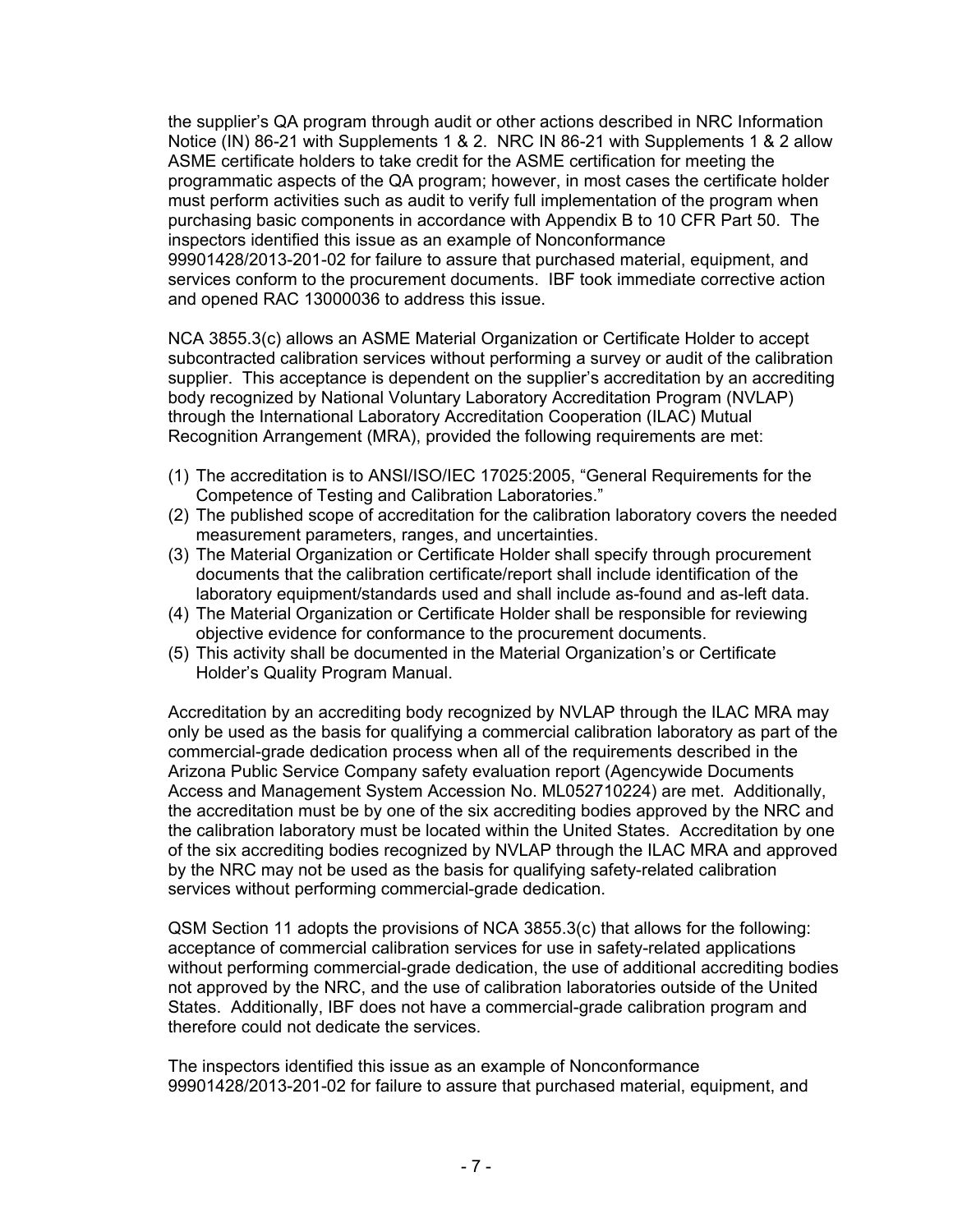the supplier's QA program through audit or other actions described in NRC Information Notice (IN) 86-21 with Supplements 1 & 2. NRC IN 86-21 with Supplements 1 & 2 allow ASME certificate holders to take credit for the ASME certification for meeting the programmatic aspects of the QA program; however, in most cases the certificate holder must perform activities such as audit to verify full implementation of the program when purchasing basic components in accordance with Appendix B to 10 CFR Part 50. The inspectors identified this issue as an example of Nonconformance 99901428/2013-201-02 for failure to assure that purchased material, equipment, and services conform to the procurement documents. IBF took immediate corrective action and opened RAC 13000036 to address this issue.

NCA 3855.3(c) allows an ASME Material Organization or Certificate Holder to accept subcontracted calibration services without performing a survey or audit of the calibration supplier. This acceptance is dependent on the supplier's accreditation by an accrediting body recognized by National Voluntary Laboratory Accreditation Program (NVLAP) through the International Laboratory Accreditation Cooperation (ILAC) Mutual Recognition Arrangement (MRA), provided the following requirements are met:

- (1) The accreditation is to ANSI/ISO/IEC 17025:2005, "General Requirements for the Competence of Testing and Calibration Laboratories."
- (2) The published scope of accreditation for the calibration laboratory covers the needed measurement parameters, ranges, and uncertainties.
- (3) The Material Organization or Certificate Holder shall specify through procurement documents that the calibration certificate/report shall include identification of the laboratory equipment/standards used and shall include as-found and as-left data.
- (4) The Material Organization or Certificate Holder shall be responsible for reviewing objective evidence for conformance to the procurement documents.
- (5) This activity shall be documented in the Material Organization's or Certificate Holder's Quality Program Manual.

Accreditation by an accrediting body recognized by NVLAP through the ILAC MRA may only be used as the basis for qualifying a commercial calibration laboratory as part of the commercial-grade dedication process when all of the requirements described in the Arizona Public Service Company safety evaluation report (Agencywide Documents Access and Management System Accession No. ML052710224) are met. Additionally, the accreditation must be by one of the six accrediting bodies approved by the NRC and the calibration laboratory must be located within the United States. Accreditation by one of the six accrediting bodies recognized by NVLAP through the ILAC MRA and approved by the NRC may not be used as the basis for qualifying safety-related calibration services without performing commercial-grade dedication.

QSM Section 11 adopts the provisions of NCA 3855.3(c) that allows for the following: acceptance of commercial calibration services for use in safety-related applications without performing commercial-grade dedication, the use of additional accrediting bodies not approved by the NRC, and the use of calibration laboratories outside of the United States. Additionally, IBF does not have a commercial-grade calibration program and therefore could not dedicate the services.

The inspectors identified this issue as an example of Nonconformance 99901428/2013-201-02 for failure to assure that purchased material, equipment, and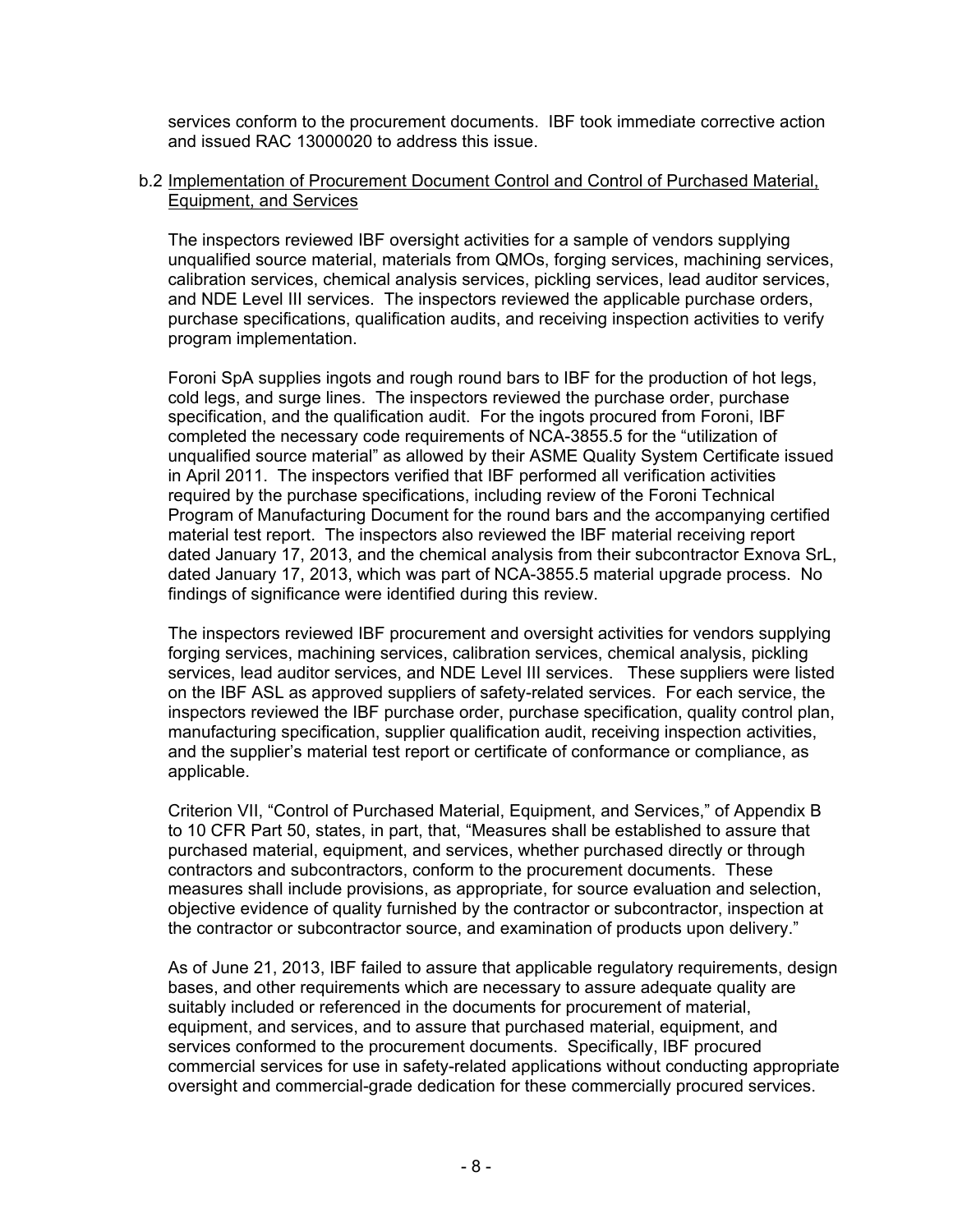services conform to the procurement documents. IBF took immediate corrective action and issued RAC 13000020 to address this issue.

#### b.2 Implementation of Procurement Document Control and Control of Purchased Material, Equipment, and Services

The inspectors reviewed IBF oversight activities for a sample of vendors supplying unqualified source material, materials from QMOs, forging services, machining services, calibration services, chemical analysis services, pickling services, lead auditor services, and NDE Level III services. The inspectors reviewed the applicable purchase orders, purchase specifications, qualification audits, and receiving inspection activities to verify program implementation.

Foroni SpA supplies ingots and rough round bars to IBF for the production of hot legs, cold legs, and surge lines. The inspectors reviewed the purchase order, purchase specification, and the qualification audit. For the ingots procured from Foroni, IBF completed the necessary code requirements of NCA-3855.5 for the "utilization of unqualified source material" as allowed by their ASME Quality System Certificate issued in April 2011. The inspectors verified that IBF performed all verification activities required by the purchase specifications, including review of the Foroni Technical Program of Manufacturing Document for the round bars and the accompanying certified material test report. The inspectors also reviewed the IBF material receiving report dated January 17, 2013, and the chemical analysis from their subcontractor Exnova SrL, dated January 17, 2013, which was part of NCA-3855.5 material upgrade process. No findings of significance were identified during this review.

The inspectors reviewed IBF procurement and oversight activities for vendors supplying forging services, machining services, calibration services, chemical analysis, pickling services, lead auditor services, and NDE Level III services. These suppliers were listed on the IBF ASL as approved suppliers of safety-related services. For each service, the inspectors reviewed the IBF purchase order, purchase specification, quality control plan, manufacturing specification, supplier qualification audit, receiving inspection activities, and the supplier's material test report or certificate of conformance or compliance, as applicable.

Criterion VII, "Control of Purchased Material, Equipment, and Services," of Appendix B to 10 CFR Part 50, states, in part, that, "Measures shall be established to assure that purchased material, equipment, and services, whether purchased directly or through contractors and subcontractors, conform to the procurement documents. These measures shall include provisions, as appropriate, for source evaluation and selection, objective evidence of quality furnished by the contractor or subcontractor, inspection at the contractor or subcontractor source, and examination of products upon delivery."

As of June 21, 2013, IBF failed to assure that applicable regulatory requirements, design bases, and other requirements which are necessary to assure adequate quality are suitably included or referenced in the documents for procurement of material, equipment, and services, and to assure that purchased material, equipment, and services conformed to the procurement documents. Specifically, IBF procured commercial services for use in safety-related applications without conducting appropriate oversight and commercial-grade dedication for these commercially procured services.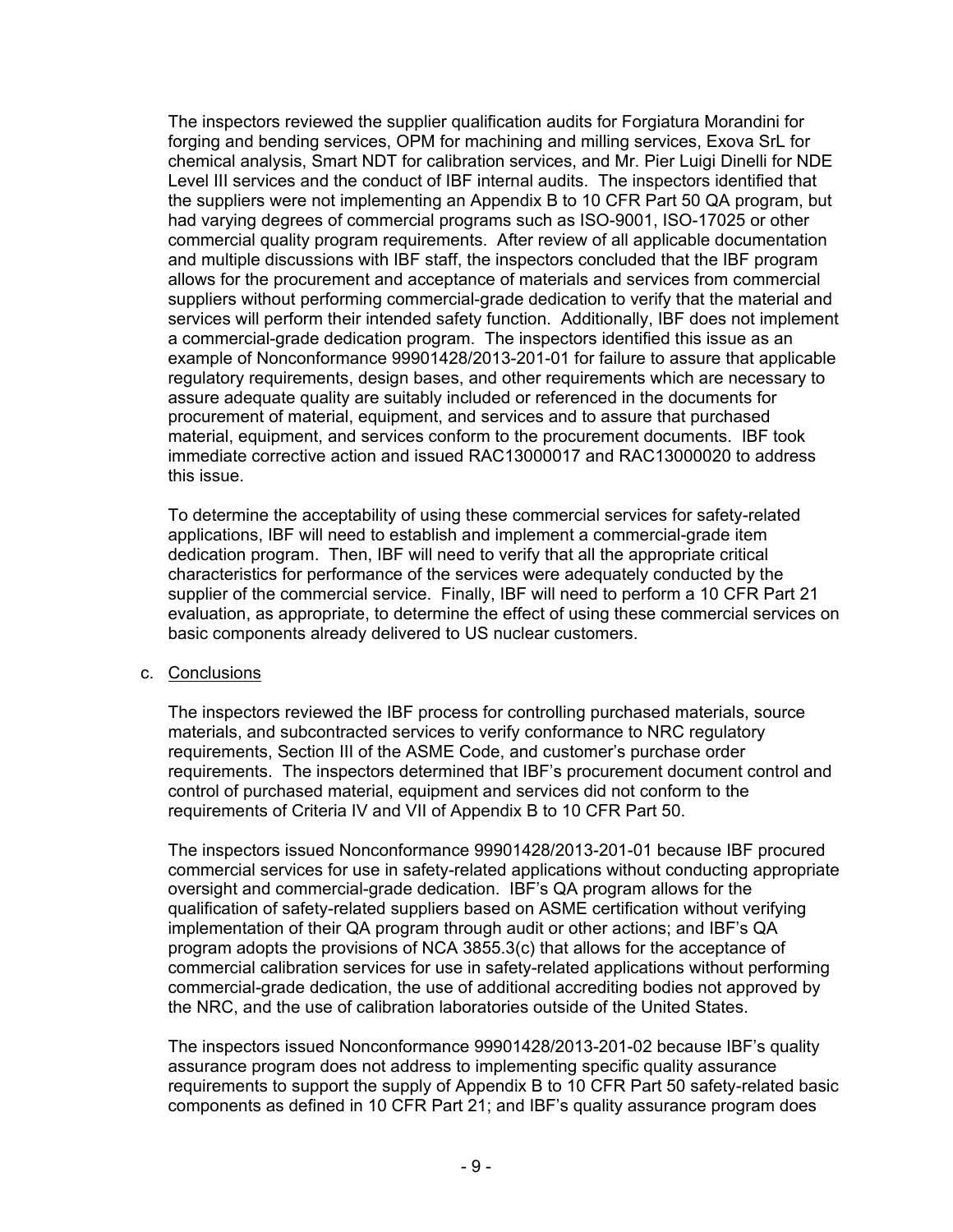The inspectors reviewed the supplier qualification audits for Forgiatura Morandini for forging and bending services, OPM for machining and milling services, Exova SrL for chemical analysis, Smart NDT for calibration services, and Mr. Pier Luigi Dinelli for NDE Level III services and the conduct of IBF internal audits. The inspectors identified that the suppliers were not implementing an Appendix B to 10 CFR Part 50 QA program, but had varying degrees of commercial programs such as ISO-9001, ISO-17025 or other commercial quality program requirements. After review of all applicable documentation and multiple discussions with IBF staff, the inspectors concluded that the IBF program allows for the procurement and acceptance of materials and services from commercial suppliers without performing commercial-grade dedication to verify that the material and services will perform their intended safety function. Additionally, IBF does not implement a commercial-grade dedication program. The inspectors identified this issue as an example of Nonconformance 99901428/2013-201-01 for failure to assure that applicable regulatory requirements, design bases, and other requirements which are necessary to assure adequate quality are suitably included or referenced in the documents for procurement of material, equipment, and services and to assure that purchased material, equipment, and services conform to the procurement documents. IBF took immediate corrective action and issued RAC13000017 and RAC13000020 to address this issue.

To determine the acceptability of using these commercial services for safety-related applications, IBF will need to establish and implement a commercial-grade item dedication program. Then, IBF will need to verify that all the appropriate critical characteristics for performance of the services were adequately conducted by the supplier of the commercial service. Finally, IBF will need to perform a 10 CFR Part 21 evaluation, as appropriate, to determine the effect of using these commercial services on basic components already delivered to US nuclear customers.

### c. Conclusions

The inspectors reviewed the IBF process for controlling purchased materials, source materials, and subcontracted services to verify conformance to NRC regulatory requirements, Section III of the ASME Code, and customer's purchase order requirements. The inspectors determined that IBF's procurement document control and control of purchased material, equipment and services did not conform to the requirements of Criteria IV and VII of Appendix B to 10 CFR Part 50.

The inspectors issued Nonconformance 99901428/2013-201-01 because IBF procured commercial services for use in safety-related applications without conducting appropriate oversight and commercial-grade dedication. IBF's QA program allows for the qualification of safety-related suppliers based on ASME certification without verifying implementation of their QA program through audit or other actions; and IBF's QA program adopts the provisions of NCA 3855.3(c) that allows for the acceptance of commercial calibration services for use in safety-related applications without performing commercial-grade dedication, the use of additional accrediting bodies not approved by the NRC, and the use of calibration laboratories outside of the United States.

The inspectors issued Nonconformance 99901428/2013-201-02 because IBF's quality assurance program does not address to implementing specific quality assurance requirements to support the supply of Appendix B to 10 CFR Part 50 safety-related basic components as defined in 10 CFR Part 21; and IBF's quality assurance program does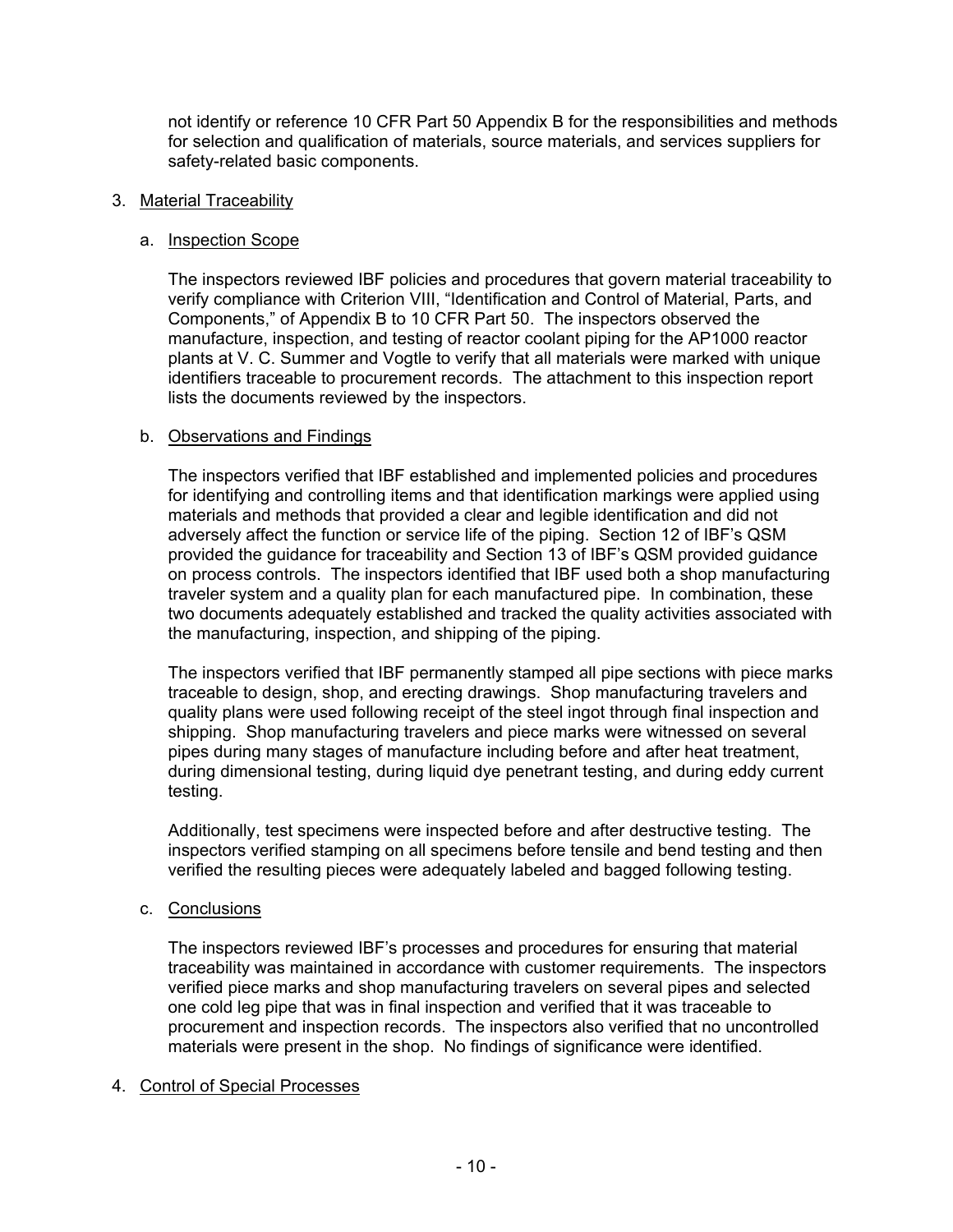not identify or reference 10 CFR Part 50 Appendix B for the responsibilities and methods for selection and qualification of materials, source materials, and services suppliers for safety-related basic components.

### 3. Material Traceability

### a. Inspection Scope

The inspectors reviewed IBF policies and procedures that govern material traceability to verify compliance with Criterion VIII, "Identification and Control of Material, Parts, and Components," of Appendix B to 10 CFR Part 50. The inspectors observed the manufacture, inspection, and testing of reactor coolant piping for the AP1000 reactor plants at V. C. Summer and Vogtle to verify that all materials were marked with unique identifiers traceable to procurement records. The attachment to this inspection report lists the documents reviewed by the inspectors.

#### b. Observations and Findings

The inspectors verified that IBF established and implemented policies and procedures for identifying and controlling items and that identification markings were applied using materials and methods that provided a clear and legible identification and did not adversely affect the function or service life of the piping. Section 12 of IBF's QSM provided the guidance for traceability and Section 13 of IBF's QSM provided guidance on process controls. The inspectors identified that IBF used both a shop manufacturing traveler system and a quality plan for each manufactured pipe. In combination, these two documents adequately established and tracked the quality activities associated with the manufacturing, inspection, and shipping of the piping.

The inspectors verified that IBF permanently stamped all pipe sections with piece marks traceable to design, shop, and erecting drawings. Shop manufacturing travelers and quality plans were used following receipt of the steel ingot through final inspection and shipping. Shop manufacturing travelers and piece marks were witnessed on several pipes during many stages of manufacture including before and after heat treatment, during dimensional testing, during liquid dye penetrant testing, and during eddy current testing.

Additionally, test specimens were inspected before and after destructive testing. The inspectors verified stamping on all specimens before tensile and bend testing and then verified the resulting pieces were adequately labeled and bagged following testing.

### c. Conclusions

The inspectors reviewed IBF's processes and procedures for ensuring that material traceability was maintained in accordance with customer requirements. The inspectors verified piece marks and shop manufacturing travelers on several pipes and selected one cold leg pipe that was in final inspection and verified that it was traceable to procurement and inspection records. The inspectors also verified that no uncontrolled materials were present in the shop. No findings of significance were identified.

### 4. Control of Special Processes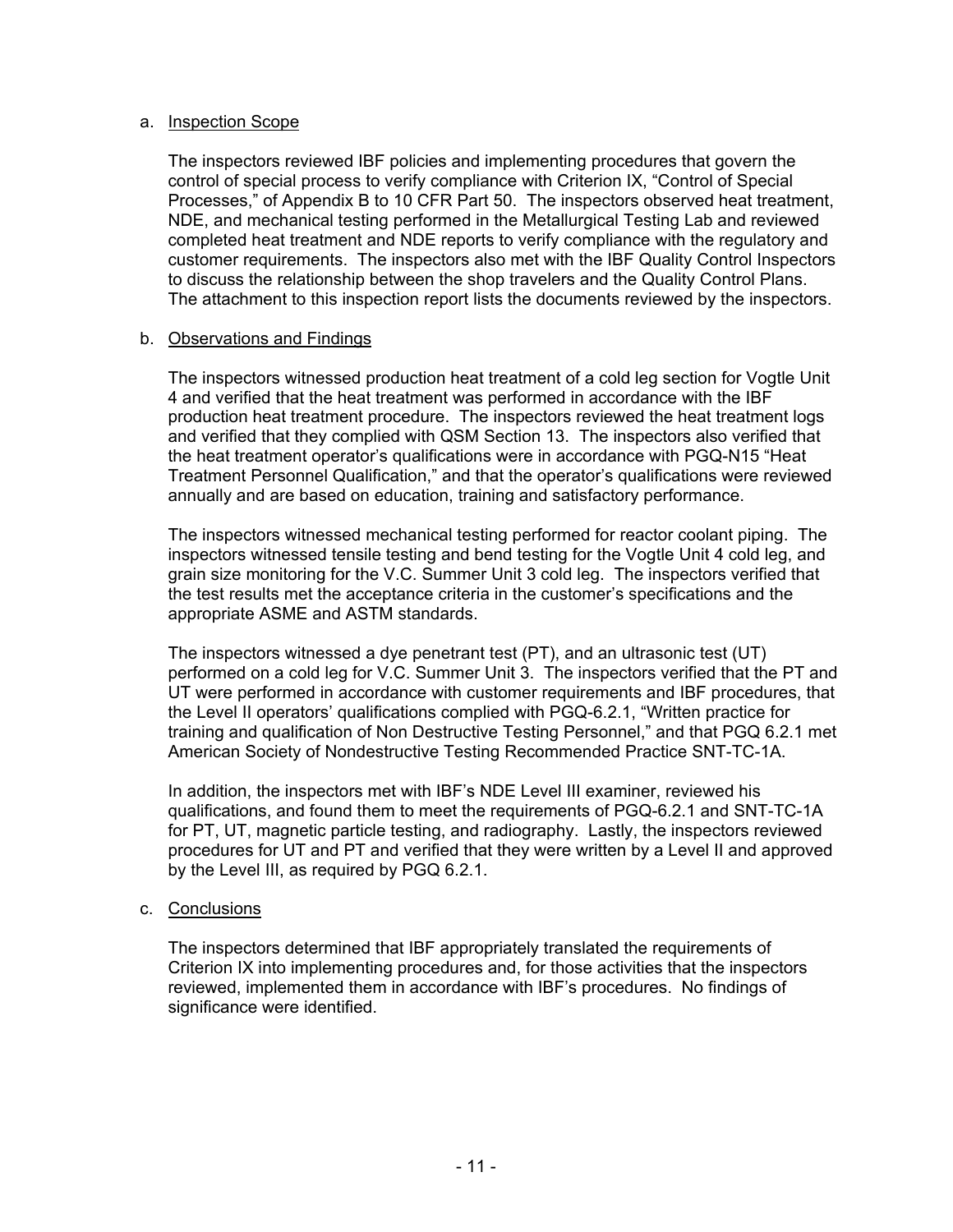#### a. Inspection Scope

The inspectors reviewed IBF policies and implementing procedures that govern the control of special process to verify compliance with Criterion IX, "Control of Special Processes," of Appendix B to 10 CFR Part 50. The inspectors observed heat treatment, NDE, and mechanical testing performed in the Metallurgical Testing Lab and reviewed completed heat treatment and NDE reports to verify compliance with the regulatory and customer requirements. The inspectors also met with the IBF Quality Control Inspectors to discuss the relationship between the shop travelers and the Quality Control Plans. The attachment to this inspection report lists the documents reviewed by the inspectors.

#### b. Observations and Findings

The inspectors witnessed production heat treatment of a cold leg section for Vogtle Unit 4 and verified that the heat treatment was performed in accordance with the IBF production heat treatment procedure. The inspectors reviewed the heat treatment logs and verified that they complied with QSM Section 13. The inspectors also verified that the heat treatment operator's qualifications were in accordance with PGQ-N15 "Heat Treatment Personnel Qualification," and that the operator's qualifications were reviewed annually and are based on education, training and satisfactory performance.

The inspectors witnessed mechanical testing performed for reactor coolant piping. The inspectors witnessed tensile testing and bend testing for the Vogtle Unit 4 cold leg, and grain size monitoring for the V.C. Summer Unit 3 cold leg. The inspectors verified that the test results met the acceptance criteria in the customer's specifications and the appropriate ASME and ASTM standards.

The inspectors witnessed a dye penetrant test (PT), and an ultrasonic test (UT) performed on a cold leg for V.C. Summer Unit 3. The inspectors verified that the PT and UT were performed in accordance with customer requirements and IBF procedures, that the Level II operators' qualifications complied with PGQ-6.2.1, "Written practice for training and qualification of Non Destructive Testing Personnel," and that PGQ 6.2.1 met American Society of Nondestructive Testing Recommended Practice SNT-TC-1A.

In addition, the inspectors met with IBF's NDE Level III examiner, reviewed his qualifications, and found them to meet the requirements of PGQ-6.2.1 and SNT-TC-1A for PT, UT, magnetic particle testing, and radiography. Lastly, the inspectors reviewed procedures for UT and PT and verified that they were written by a Level II and approved by the Level III, as required by PGQ 6.2.1.

### c. Conclusions

The inspectors determined that IBF appropriately translated the requirements of Criterion IX into implementing procedures and, for those activities that the inspectors reviewed, implemented them in accordance with IBF's procedures. No findings of significance were identified.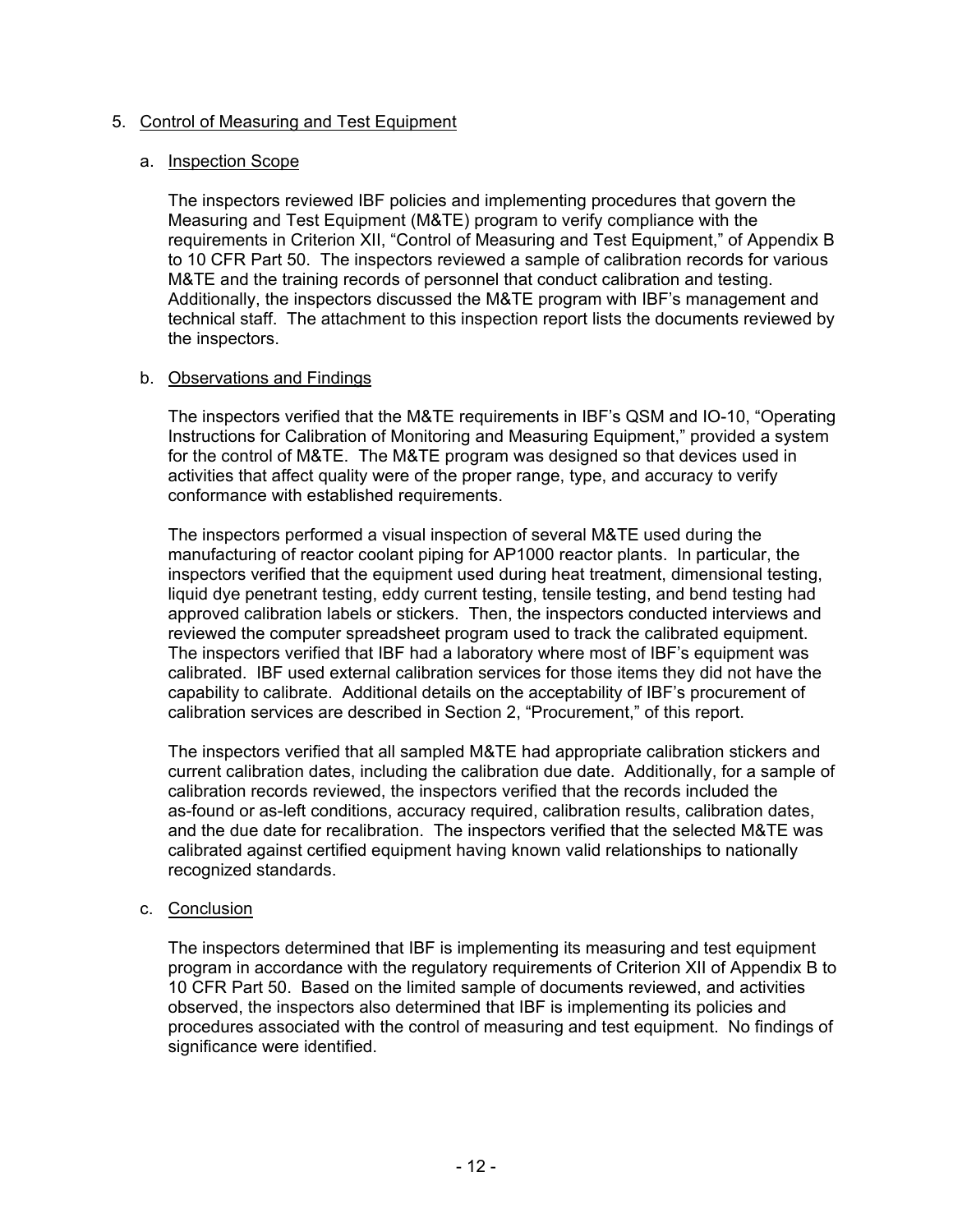### 5. Control of Measuring and Test Equipment

#### a. Inspection Scope

The inspectors reviewed IBF policies and implementing procedures that govern the Measuring and Test Equipment (M&TE) program to verify compliance with the requirements in Criterion XII, "Control of Measuring and Test Equipment," of Appendix B to 10 CFR Part 50. The inspectors reviewed a sample of calibration records for various M&TE and the training records of personnel that conduct calibration and testing. Additionally, the inspectors discussed the M&TE program with IBF's management and technical staff. The attachment to this inspection report lists the documents reviewed by the inspectors.

### b. Observations and Findings

The inspectors verified that the M&TE requirements in IBF's QSM and IO-10, "Operating Instructions for Calibration of Monitoring and Measuring Equipment," provided a system for the control of M&TE. The M&TE program was designed so that devices used in activities that affect quality were of the proper range, type, and accuracy to verify conformance with established requirements.

The inspectors performed a visual inspection of several M&TE used during the manufacturing of reactor coolant piping for AP1000 reactor plants. In particular, the inspectors verified that the equipment used during heat treatment, dimensional testing, liquid dye penetrant testing, eddy current testing, tensile testing, and bend testing had approved calibration labels or stickers. Then, the inspectors conducted interviews and reviewed the computer spreadsheet program used to track the calibrated equipment. The inspectors verified that IBF had a laboratory where most of IBF's equipment was calibrated. IBF used external calibration services for those items they did not have the capability to calibrate. Additional details on the acceptability of IBF's procurement of calibration services are described in Section 2, "Procurement," of this report.

The inspectors verified that all sampled M&TE had appropriate calibration stickers and current calibration dates, including the calibration due date. Additionally, for a sample of calibration records reviewed, the inspectors verified that the records included the as-found or as-left conditions, accuracy required, calibration results, calibration dates, and the due date for recalibration. The inspectors verified that the selected M&TE was calibrated against certified equipment having known valid relationships to nationally recognized standards.

#### c. Conclusion

The inspectors determined that IBF is implementing its measuring and test equipment program in accordance with the regulatory requirements of Criterion XII of Appendix B to 10 CFR Part 50. Based on the limited sample of documents reviewed, and activities observed, the inspectors also determined that IBF is implementing its policies and procedures associated with the control of measuring and test equipment. No findings of significance were identified.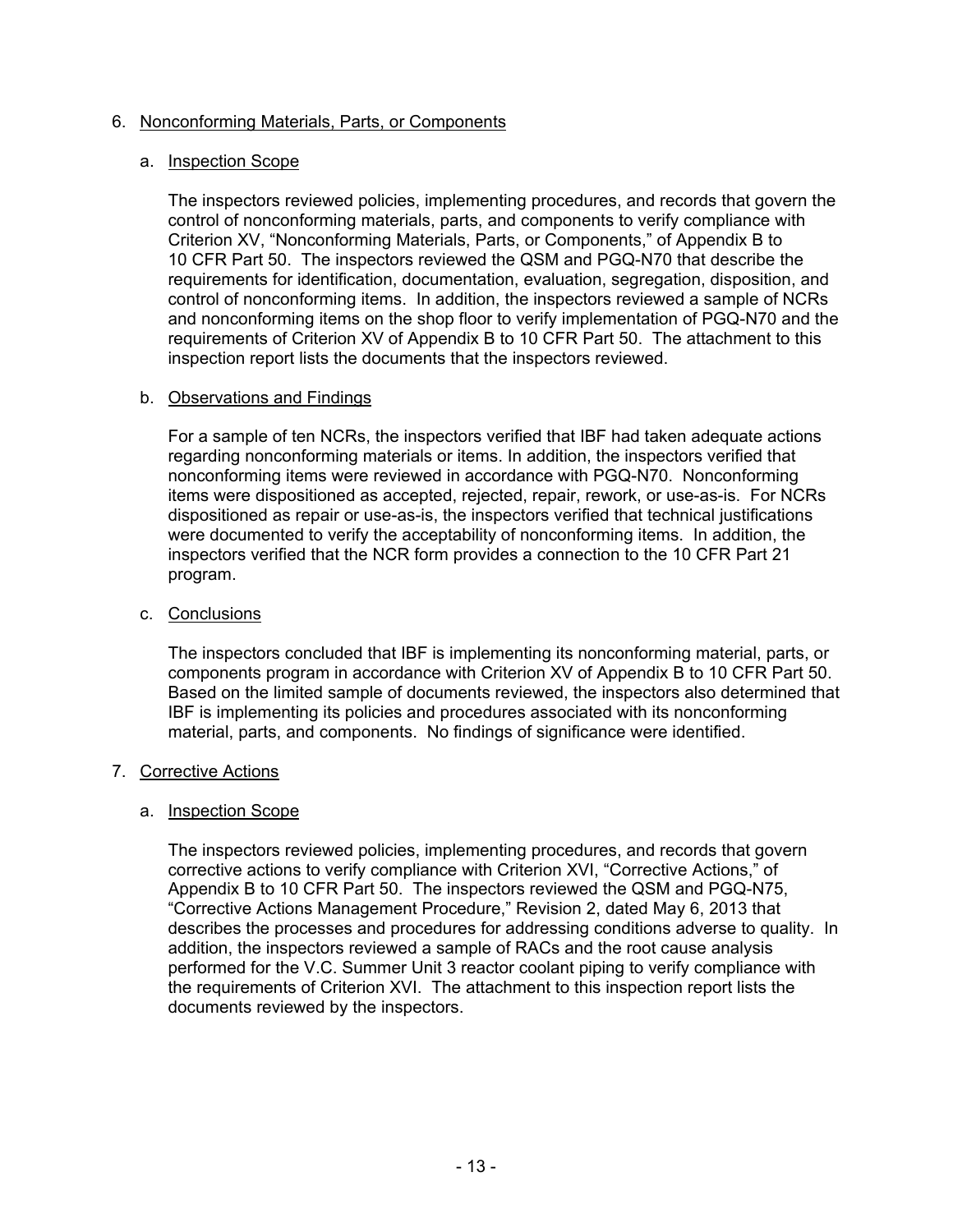### 6. Nonconforming Materials, Parts, or Components

### a. Inspection Scope

The inspectors reviewed policies, implementing procedures, and records that govern the control of nonconforming materials, parts, and components to verify compliance with Criterion XV, "Nonconforming Materials, Parts, or Components," of Appendix B to 10 CFR Part 50. The inspectors reviewed the QSM and PGQ-N70 that describe the requirements for identification, documentation, evaluation, segregation, disposition, and control of nonconforming items. In addition, the inspectors reviewed a sample of NCRs and nonconforming items on the shop floor to verify implementation of PGQ-N70 and the requirements of Criterion XV of Appendix B to 10 CFR Part 50. The attachment to this inspection report lists the documents that the inspectors reviewed.

### b. Observations and Findings

For a sample of ten NCRs, the inspectors verified that IBF had taken adequate actions regarding nonconforming materials or items. In addition, the inspectors verified that nonconforming items were reviewed in accordance with PGQ-N70. Nonconforming items were dispositioned as accepted, rejected, repair, rework, or use-as-is. For NCRs dispositioned as repair or use-as-is, the inspectors verified that technical justifications were documented to verify the acceptability of nonconforming items. In addition, the inspectors verified that the NCR form provides a connection to the 10 CFR Part 21 program.

### c. Conclusions

The inspectors concluded that IBF is implementing its nonconforming material, parts, or components program in accordance with Criterion XV of Appendix B to 10 CFR Part 50. Based on the limited sample of documents reviewed, the inspectors also determined that IBF is implementing its policies and procedures associated with its nonconforming material, parts, and components. No findings of significance were identified.

### 7. Corrective Actions

### a. Inspection Scope

The inspectors reviewed policies, implementing procedures, and records that govern corrective actions to verify compliance with Criterion XVI, "Corrective Actions," of Appendix B to 10 CFR Part 50. The inspectors reviewed the QSM and PGQ-N75, "Corrective Actions Management Procedure," Revision 2, dated May 6, 2013 that describes the processes and procedures for addressing conditions adverse to quality. In addition, the inspectors reviewed a sample of RACs and the root cause analysis performed for the V.C. Summer Unit 3 reactor coolant piping to verify compliance with the requirements of Criterion XVI. The attachment to this inspection report lists the documents reviewed by the inspectors.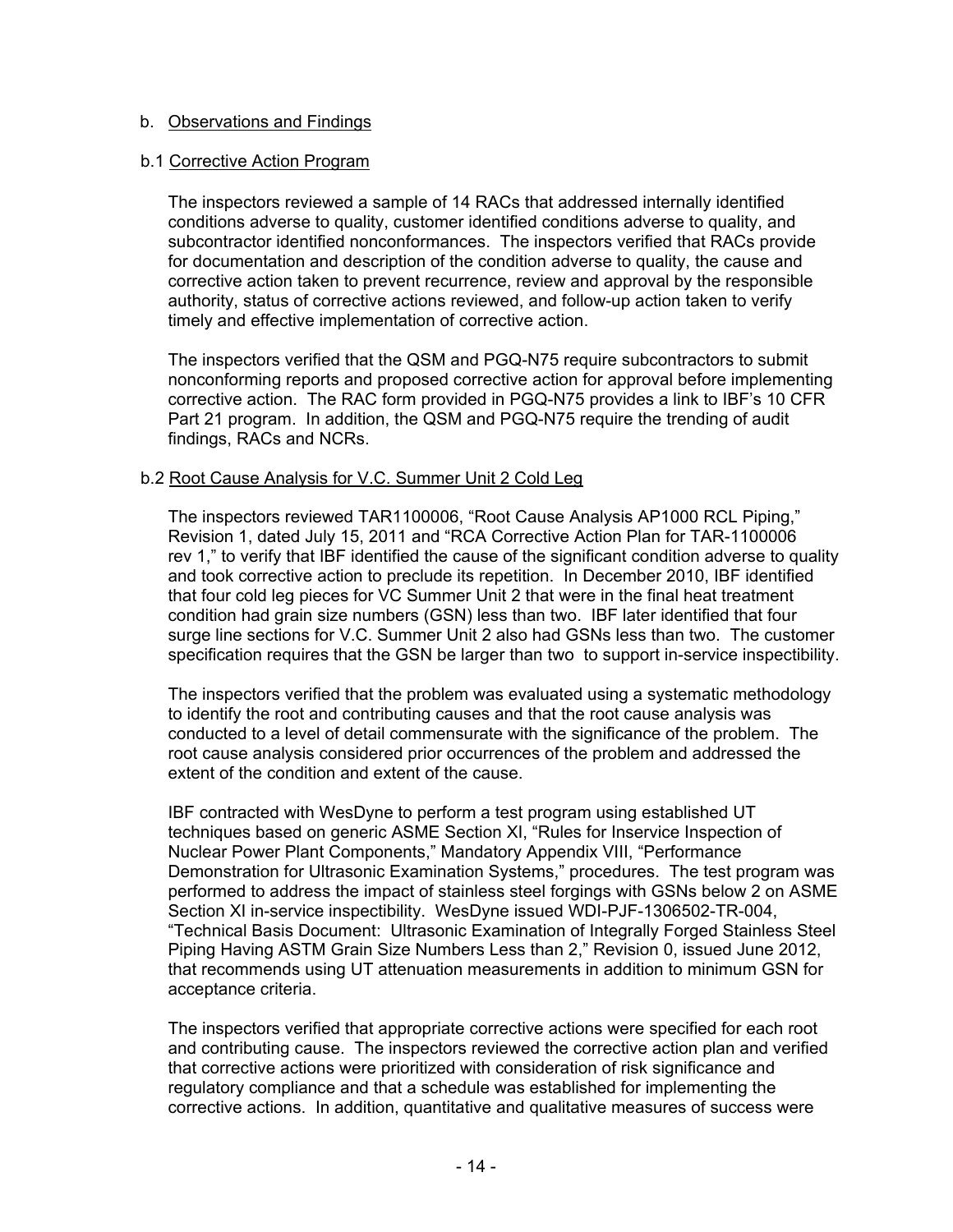### b. Observations and Findings

#### b.1 Corrective Action Program

The inspectors reviewed a sample of 14 RACs that addressed internally identified conditions adverse to quality, customer identified conditions adverse to quality, and subcontractor identified nonconformances. The inspectors verified that RACs provide for documentation and description of the condition adverse to quality, the cause and corrective action taken to prevent recurrence, review and approval by the responsible authority, status of corrective actions reviewed, and follow-up action taken to verify timely and effective implementation of corrective action.

The inspectors verified that the QSM and PGQ-N75 require subcontractors to submit nonconforming reports and proposed corrective action for approval before implementing corrective action. The RAC form provided in PGQ-N75 provides a link to IBF's 10 CFR Part 21 program. In addition, the QSM and PGQ-N75 require the trending of audit findings, RACs and NCRs.

#### b.2 Root Cause Analysis for V.C. Summer Unit 2 Cold Leg

The inspectors reviewed TAR1100006, "Root Cause Analysis AP1000 RCL Piping," Revision 1, dated July 15, 2011 and "RCA Corrective Action Plan for TAR-1100006 rev 1," to verify that IBF identified the cause of the significant condition adverse to quality and took corrective action to preclude its repetition. In December 2010, IBF identified that four cold leg pieces for VC Summer Unit 2 that were in the final heat treatment condition had grain size numbers (GSN) less than two. IBF later identified that four surge line sections for V.C. Summer Unit 2 also had GSNs less than two. The customer specification requires that the GSN be larger than two to support in-service inspectibility.

The inspectors verified that the problem was evaluated using a systematic methodology to identify the root and contributing causes and that the root cause analysis was conducted to a level of detail commensurate with the significance of the problem. The root cause analysis considered prior occurrences of the problem and addressed the extent of the condition and extent of the cause.

IBF contracted with WesDyne to perform a test program using established UT techniques based on generic ASME Section XI, "Rules for Inservice Inspection of Nuclear Power Plant Components," Mandatory Appendix VIII, "Performance Demonstration for Ultrasonic Examination Systems," procedures. The test program was performed to address the impact of stainless steel forgings with GSNs below 2 on ASME Section XI in-service inspectibility. WesDyne issued WDI-PJF-1306502-TR-004, "Technical Basis Document: Ultrasonic Examination of Integrally Forged Stainless Steel Piping Having ASTM Grain Size Numbers Less than 2," Revision 0, issued June 2012, that recommends using UT attenuation measurements in addition to minimum GSN for acceptance criteria.

The inspectors verified that appropriate corrective actions were specified for each root and contributing cause. The inspectors reviewed the corrective action plan and verified that corrective actions were prioritized with consideration of risk significance and regulatory compliance and that a schedule was established for implementing the corrective actions. In addition, quantitative and qualitative measures of success were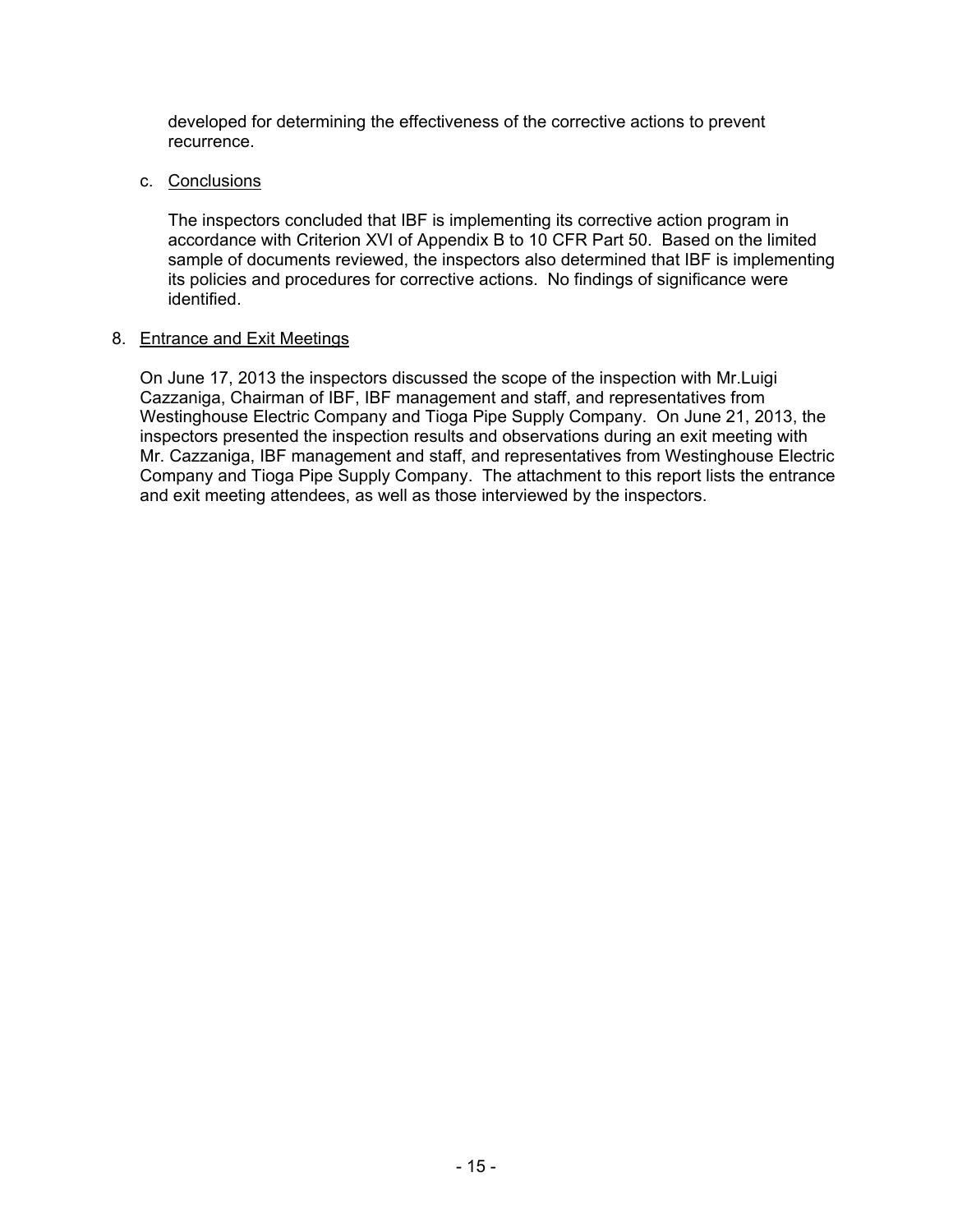developed for determining the effectiveness of the corrective actions to prevent recurrence.

### c. Conclusions

The inspectors concluded that IBF is implementing its corrective action program in accordance with Criterion XVI of Appendix B to 10 CFR Part 50. Based on the limited sample of documents reviewed, the inspectors also determined that IBF is implementing its policies and procedures for corrective actions. No findings of significance were identified.

#### 8. Entrance and Exit Meetings

On June 17, 2013 the inspectors discussed the scope of the inspection with Mr.Luigi Cazzaniga, Chairman of IBF, IBF management and staff, and representatives from Westinghouse Electric Company and Tioga Pipe Supply Company. On June 21, 2013, the inspectors presented the inspection results and observations during an exit meeting with Mr. Cazzaniga, IBF management and staff, and representatives from Westinghouse Electric Company and Tioga Pipe Supply Company. The attachment to this report lists the entrance and exit meeting attendees, as well as those interviewed by the inspectors.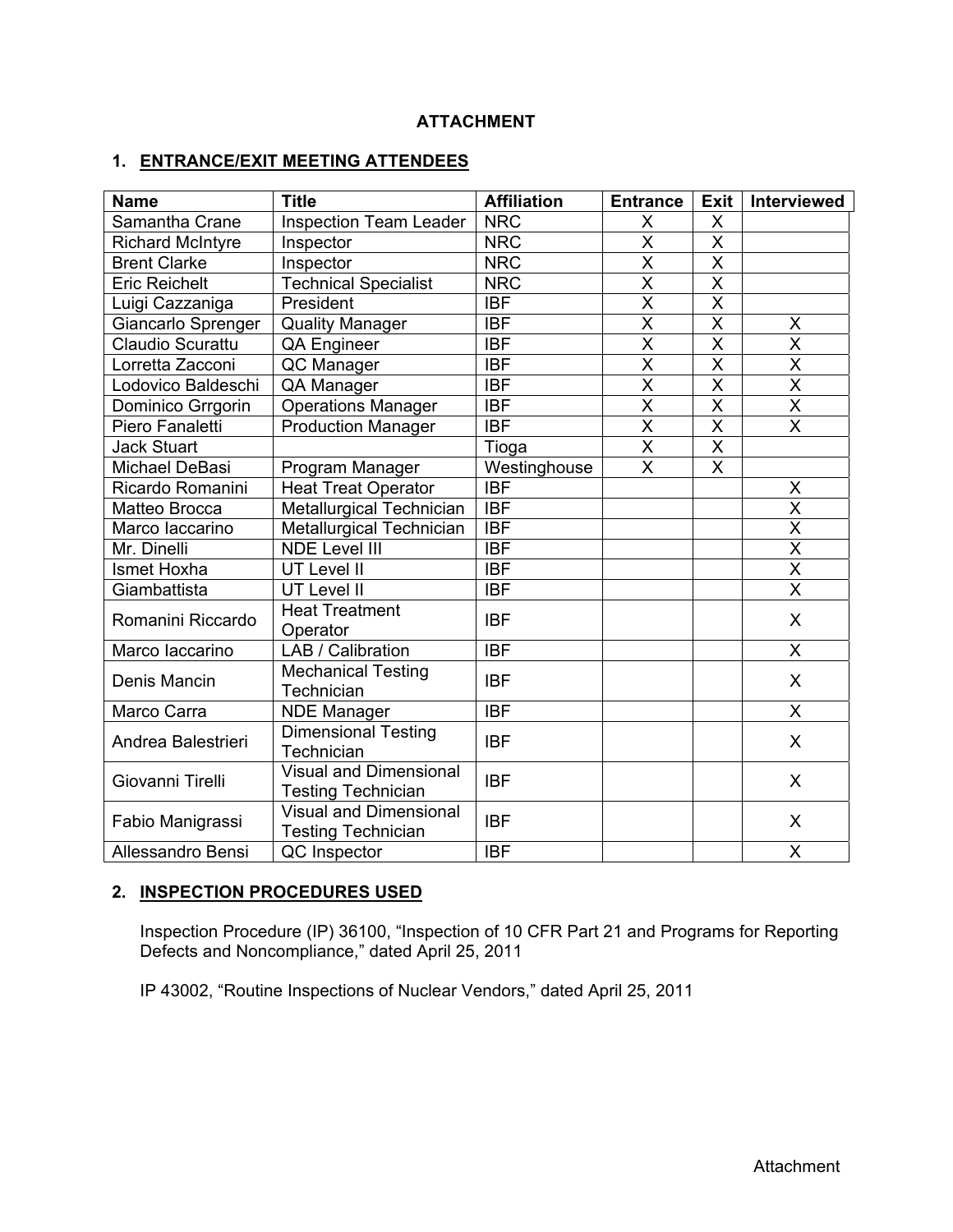## **ATTACHMENT**

## **1. ENTRANCE/EXIT MEETING ATTENDEES**

| <b>Name</b>             | <b>Title</b>                                               | <b>Affiliation</b> | <b>Entrance</b>         | <b>Exit</b>             | <b>Interviewed</b>      |
|-------------------------|------------------------------------------------------------|--------------------|-------------------------|-------------------------|-------------------------|
| Samantha Crane          | <b>Inspection Team Leader</b>                              | <b>NRC</b>         | X                       | X                       |                         |
| <b>Richard McIntyre</b> | Inspector                                                  | <b>NRC</b>         | X                       | X                       |                         |
| <b>Brent Clarke</b>     | Inspector                                                  | <b>NRC</b>         | X                       | X                       |                         |
| <b>Eric Reichelt</b>    | <b>Technical Specialist</b>                                | <b>NRC</b>         | $\overline{\mathsf{x}}$ | $\overline{\sf x}$      |                         |
| Luigi Cazzaniga         | President                                                  | IBF                | $\overline{\mathsf{x}}$ | $\overline{\mathsf{x}}$ |                         |
| Giancarlo Sprenger      | <b>Quality Manager</b>                                     | <b>IBF</b>         | $\overline{\mathsf{x}}$ | $\overline{\sf x}$      | X                       |
| <b>Claudio Scurattu</b> | QA Engineer                                                | $\overline{IBF}$   | $\overline{\mathsf{x}}$ | $\overline{\mathsf{x}}$ | $\overline{\mathsf{x}}$ |
| Lorretta Zacconi        | QC Manager                                                 | <b>IBF</b>         | $\overline{\mathsf{x}}$ | $\overline{\sf x}$      | $\overline{\mathsf{x}}$ |
| Lodovico Baldeschi      | QA Manager                                                 | IBF                | $\overline{\mathsf{x}}$ | $\overline{\mathsf{x}}$ | $\overline{\mathsf{x}}$ |
| Dominico Grrgorin       | <b>Operations Manager</b>                                  | <b>IBF</b>         | $\overline{\mathsf{x}}$ | $\overline{\mathsf{x}}$ | $\frac{X}{X}$           |
| Piero Fanaletti         | <b>Production Manager</b>                                  | <b>IBF</b>         | $\overline{\mathsf{x}}$ | $\overline{\mathsf{x}}$ |                         |
| <b>Jack Stuart</b>      |                                                            | Tioga              | $\overline{\mathsf{X}}$ | $\overline{\mathsf{x}}$ |                         |
| Michael DeBasi          | Program Manager                                            | Westinghouse       | $\overline{\mathsf{x}}$ | $\overline{\mathsf{x}}$ |                         |
| Ricardo Romanini        | <b>Heat Treat Operator</b>                                 | <b>IBF</b>         |                         |                         | X                       |
| Matteo Brocca           | Metallurgical Technician                                   | <b>IBF</b>         |                         |                         | $\overline{\mathsf{x}}$ |
| Marco laccarino         | <b>Metallurgical Technician</b>                            | <b>IBF</b>         |                         |                         | $\overline{\mathsf{X}}$ |
| Mr. Dinelli             | <b>NDE Level III</b>                                       | <b>IBF</b>         |                         |                         | $\overline{\mathsf{x}}$ |
| Ismet Hoxha             | <b>UT Level II</b>                                         | <b>IBF</b>         |                         |                         | $\overline{\mathsf{x}}$ |
| Giambattista            | UT Level II                                                | <b>IBF</b>         |                         |                         | $\overline{\mathsf{x}}$ |
| Romanini Riccardo       | <b>Heat Treatment</b><br>Operator                          | <b>IBF</b>         |                         |                         | $\mathsf{X}$            |
| Marco laccarino         | LAB / Calibration                                          | <b>IBF</b>         |                         |                         | X                       |
| Denis Mancin            | <b>Mechanical Testing</b><br>Technician                    | <b>IBF</b>         |                         |                         | $\mathsf{X}$            |
| Marco Carra             | <b>NDE Manager</b>                                         | <b>IBF</b>         |                         |                         | $\mathsf{X}$            |
| Andrea Balestrieri      | Dimensional Testing<br>Technician                          | <b>IBF</b>         |                         |                         | X                       |
| Giovanni Tirelli        | <b>Visual and Dimensional</b><br><b>Testing Technician</b> | <b>IBF</b>         |                         |                         | $\mathsf{X}$            |
| Fabio Manigrassi        | <b>Visual and Dimensional</b><br><b>Testing Technician</b> | <b>IBF</b>         |                         |                         | X                       |
| Allessandro Bensi       | QC Inspector                                               | <b>IBF</b>         |                         |                         | X                       |

## **2. INSPECTION PROCEDURES USED**

Inspection Procedure (IP) 36100, "Inspection of 10 CFR Part 21 and Programs for Reporting Defects and Noncompliance," dated April 25, 2011

IP 43002, "Routine Inspections of Nuclear Vendors," dated April 25, 2011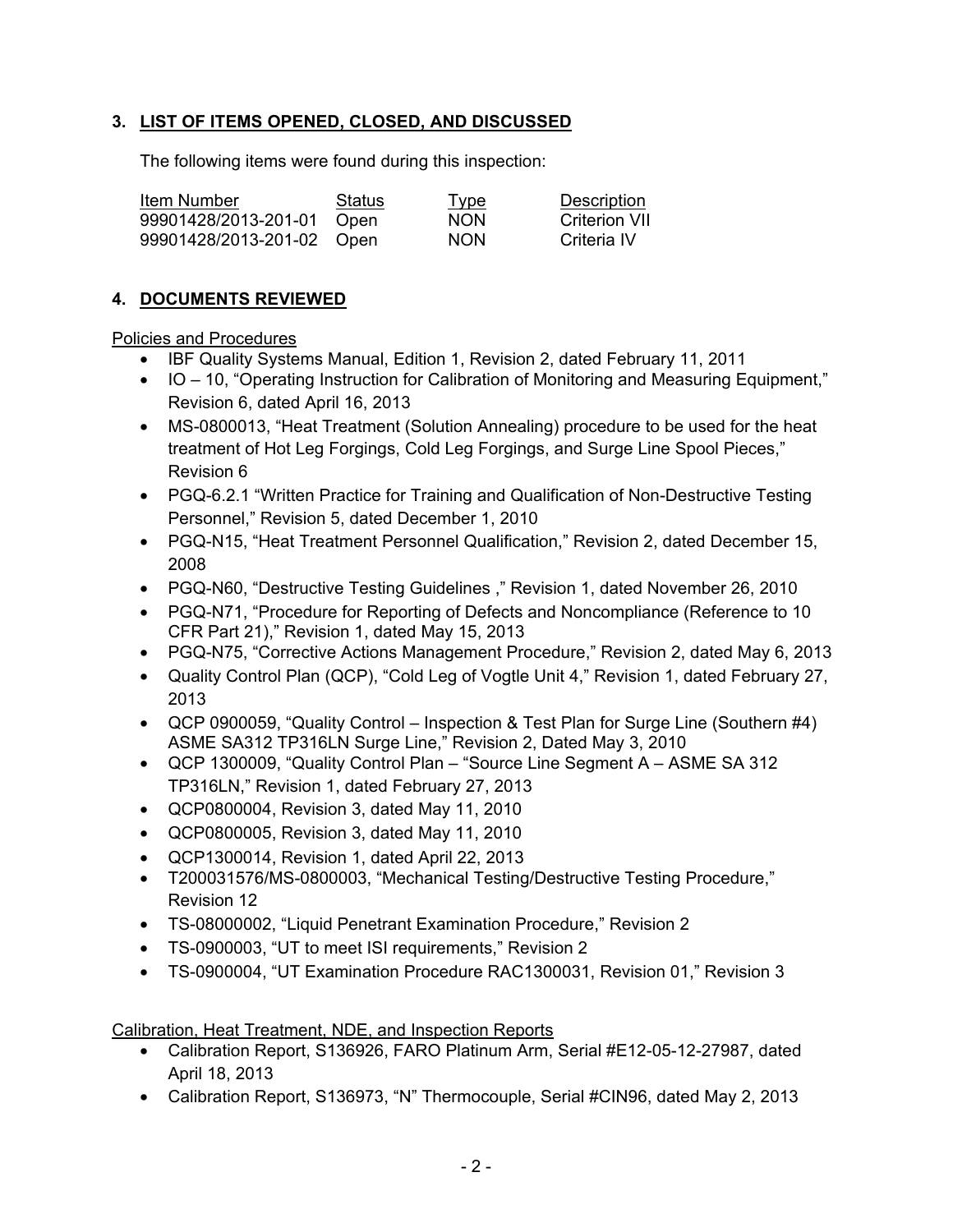## **3. LIST OF ITEMS OPENED, CLOSED, AND DISCUSSED**

The following items were found during this inspection:

| Item Number               | Status | <u>Type</u> | Description   |
|---------------------------|--------|-------------|---------------|
| 99901428/2013-201-01 Open |        | <b>NON</b>  | Criterion VII |
| 99901428/2013-201-02 Open |        | <b>NON</b>  | Criteria IV   |

## **4. DOCUMENTS REVIEWED**

Policies and Procedures

- IBF Quality Systems Manual, Edition 1, Revision 2, dated February 11, 2011
- IO 10, "Operating Instruction for Calibration of Monitoring and Measuring Equipment," Revision 6, dated April 16, 2013
- MS-0800013, "Heat Treatment (Solution Annealing) procedure to be used for the heat treatment of Hot Leg Forgings, Cold Leg Forgings, and Surge Line Spool Pieces," Revision 6
- PGQ-6.2.1 "Written Practice for Training and Qualification of Non-Destructive Testing Personnel," Revision 5, dated December 1, 2010
- PGQ-N15, "Heat Treatment Personnel Qualification," Revision 2, dated December 15, 2008
- PGQ-N60, "Destructive Testing Guidelines ," Revision 1, dated November 26, 2010
- PGQ-N71, "Procedure for Reporting of Defects and Noncompliance (Reference to 10 CFR Part 21)," Revision 1, dated May 15, 2013
- PGQ-N75, "Corrective Actions Management Procedure," Revision 2, dated May 6, 2013
- Quality Control Plan (QCP), "Cold Leg of Vogtle Unit 4," Revision 1, dated February 27, 2013
- QCP 0900059, "Quality Control Inspection & Test Plan for Surge Line (Southern #4) ASME SA312 TP316LN Surge Line," Revision 2, Dated May 3, 2010
- QCP 1300009, "Quality Control Plan "Source Line Segment A ASME SA 312 TP316LN," Revision 1, dated February 27, 2013
- QCP0800004, Revision 3, dated May 11, 2010
- QCP0800005, Revision 3, dated May 11, 2010
- QCP1300014, Revision 1, dated April 22, 2013
- T200031576/MS-0800003, "Mechanical Testing/Destructive Testing Procedure," Revision 12
- TS-08000002, "Liquid Penetrant Examination Procedure," Revision 2
- TS-0900003, "UT to meet ISI requirements," Revision 2
- TS-0900004, "UT Examination Procedure RAC1300031, Revision 01," Revision 3

Calibration, Heat Treatment, NDE, and Inspection Reports

- Calibration Report, S136926, FARO Platinum Arm, Serial #E12-05-12-27987, dated April 18, 2013
- Calibration Report, S136973, "N" Thermocouple, Serial #CIN96, dated May 2, 2013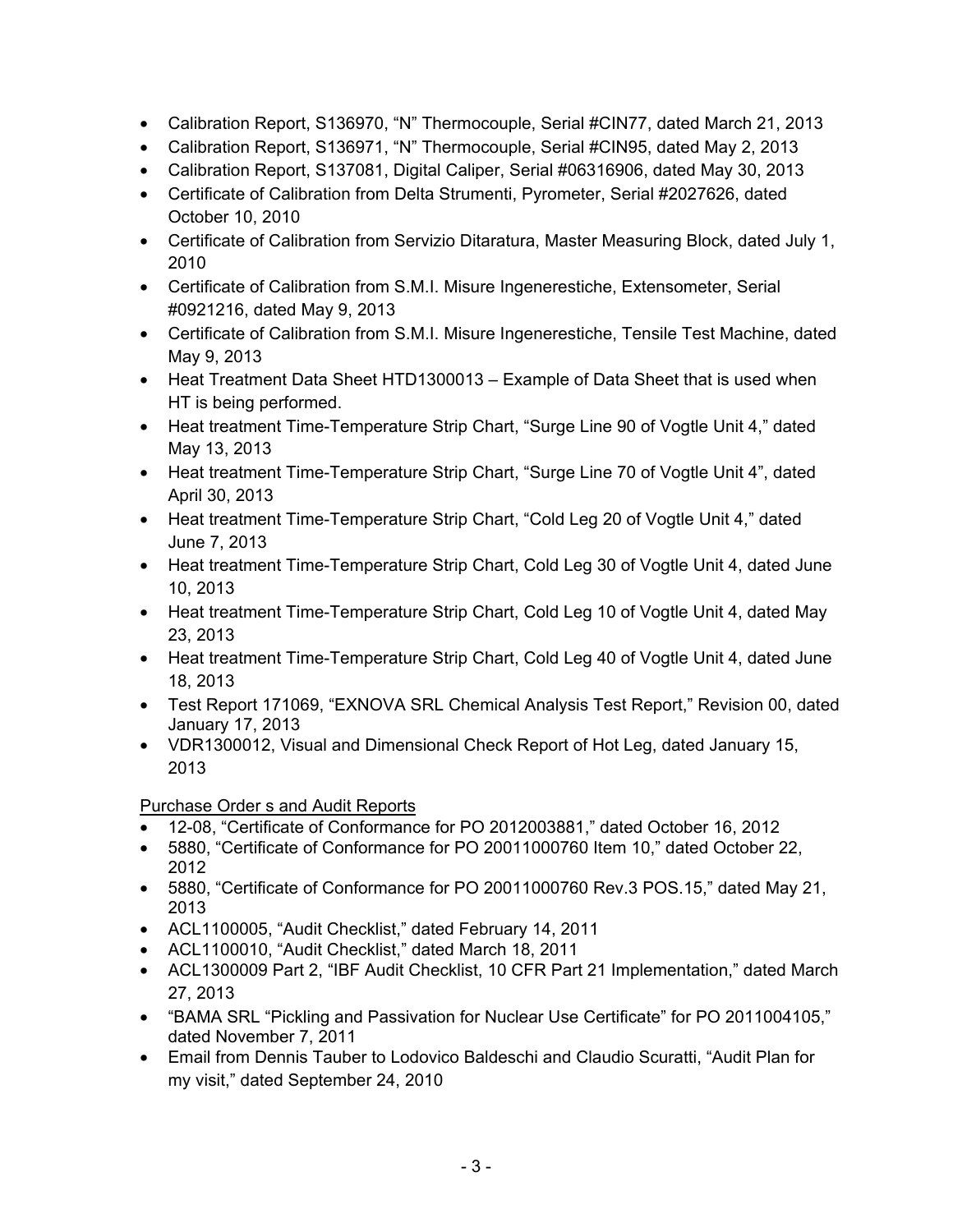- Calibration Report, S136970, "N" Thermocouple, Serial #CIN77, dated March 21, 2013
- Calibration Report, S136971, "N" Thermocouple, Serial #CIN95, dated May 2, 2013
- Calibration Report, S137081, Digital Caliper, Serial #06316906, dated May 30, 2013
- Certificate of Calibration from Delta Strumenti, Pyrometer, Serial #2027626, dated October 10, 2010
- Certificate of Calibration from Servizio Ditaratura, Master Measuring Block, dated July 1, 2010
- Certificate of Calibration from S.M.I. Misure Ingenerestiche, Extensometer, Serial #0921216, dated May 9, 2013
- Certificate of Calibration from S.M.I. Misure Ingenerestiche, Tensile Test Machine, dated May 9, 2013
- Heat Treatment Data Sheet HTD1300013 Example of Data Sheet that is used when HT is being performed.
- Heat treatment Time-Temperature Strip Chart, "Surge Line 90 of Vogtle Unit 4," dated May 13, 2013
- Heat treatment Time-Temperature Strip Chart, "Surge Line 70 of Vogtle Unit 4", dated April 30, 2013
- Heat treatment Time-Temperature Strip Chart, "Cold Leg 20 of Vogtle Unit 4," dated June 7, 2013
- Heat treatment Time-Temperature Strip Chart, Cold Leg 30 of Vogtle Unit 4, dated June 10, 2013
- Heat treatment Time-Temperature Strip Chart, Cold Leg 10 of Vogtle Unit 4, dated May 23, 2013
- Heat treatment Time-Temperature Strip Chart, Cold Leg 40 of Vogtle Unit 4, dated June 18, 2013
- Test Report 171069, "EXNOVA SRL Chemical Analysis Test Report," Revision 00, dated January 17, 2013
- VDR1300012, Visual and Dimensional Check Report of Hot Leg, dated January 15, 2013

Purchase Order s and Audit Reports

- 12-08, "Certificate of Conformance for PO 2012003881," dated October 16, 2012
- 5880, "Certificate of Conformance for PO 20011000760 Item 10," dated October 22, 2012
- 5880, "Certificate of Conformance for PO 20011000760 Rev.3 POS.15," dated May 21, 2013
- ACL1100005, "Audit Checklist," dated February 14, 2011
- ACL1100010, "Audit Checklist," dated March 18, 2011
- ACL1300009 Part 2, "IBF Audit Checklist, 10 CFR Part 21 Implementation," dated March 27, 2013
- "BAMA SRL "Pickling and Passivation for Nuclear Use Certificate" for PO 2011004105," dated November 7, 2011
- Email from Dennis Tauber to Lodovico Baldeschi and Claudio Scuratti, "Audit Plan for my visit," dated September 24, 2010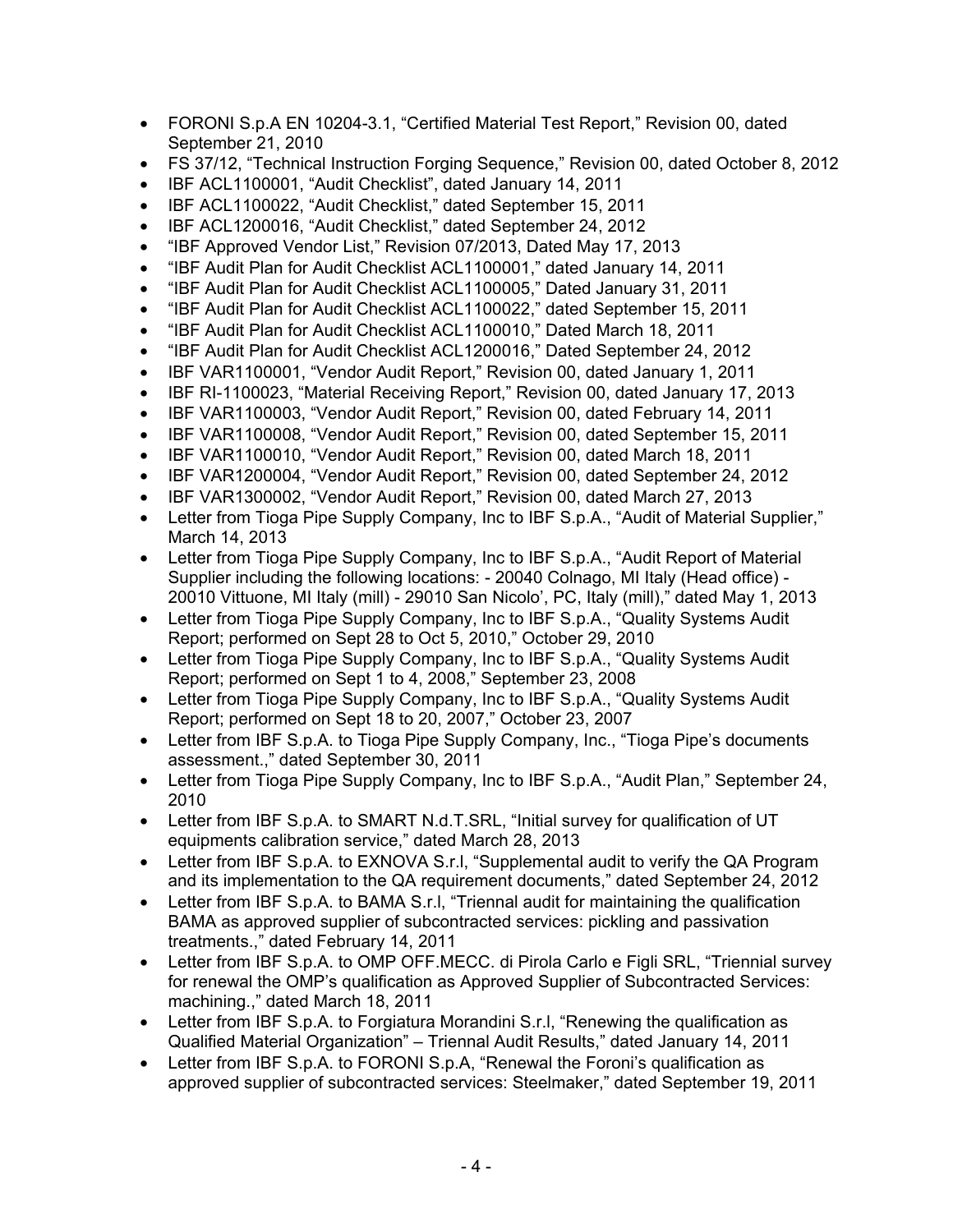- FORONI S.p.A EN 10204-3.1, "Certified Material Test Report," Revision 00, dated September 21, 2010
- FS 37/12, "Technical Instruction Forging Sequence," Revision 00, dated October 8, 2012
- IBF ACL1100001, "Audit Checklist", dated January 14, 2011
- IBF ACL1100022, "Audit Checklist," dated September 15, 2011
- IBF ACL1200016, "Audit Checklist," dated September 24, 2012
- "IBF Approved Vendor List," Revision 07/2013, Dated May 17, 2013
- "IBF Audit Plan for Audit Checklist ACL1100001," dated January 14, 2011
- "IBF Audit Plan for Audit Checklist ACL1100005," Dated January 31, 2011
- "IBF Audit Plan for Audit Checklist ACL1100022," dated September 15, 2011
- "IBF Audit Plan for Audit Checklist ACL1100010," Dated March 18, 2011
- "IBF Audit Plan for Audit Checklist ACL1200016," Dated September 24, 2012
- IBF VAR1100001, "Vendor Audit Report," Revision 00, dated January 1, 2011
- IBF RI-1100023, "Material Receiving Report," Revision 00, dated January 17, 2013
- IBF VAR1100003, "Vendor Audit Report," Revision 00, dated February 14, 2011
- IBF VAR1100008, "Vendor Audit Report," Revision 00, dated September 15, 2011
- IBF VAR1100010, "Vendor Audit Report," Revision 00, dated March 18, 2011
- IBF VAR1200004, "Vendor Audit Report," Revision 00, dated September 24, 2012
- IBF VAR1300002, "Vendor Audit Report," Revision 00, dated March 27, 2013
- Letter from Tioga Pipe Supply Company, Inc to IBF S.p.A., "Audit of Material Supplier." March 14, 2013
- Letter from Tioga Pipe Supply Company, Inc to IBF S.p.A., "Audit Report of Material Supplier including the following locations: - 20040 Colnago, MI Italy (Head office) - 20010 Vittuone, MI Italy (mill) - 29010 San Nicolo', PC, Italy (mill)," dated May 1, 2013
- Letter from Tioga Pipe Supply Company, Inc to IBF S.p.A., "Quality Systems Audit Report; performed on Sept 28 to Oct 5, 2010," October 29, 2010
- Letter from Tioga Pipe Supply Company, Inc to IBF S.p.A., "Quality Systems Audit Report; performed on Sept 1 to 4, 2008," September 23, 2008
- Letter from Tioga Pipe Supply Company, Inc to IBF S.p.A., "Quality Systems Audit" Report; performed on Sept 18 to 20, 2007," October 23, 2007
- Letter from IBF S.p.A. to Tioga Pipe Supply Company, Inc., "Tioga Pipe's documents assessment.," dated September 30, 2011
- Letter from Tioga Pipe Supply Company, Inc to IBF S.p.A., "Audit Plan," September 24, 2010
- Letter from IBF S.p.A. to SMART N.d.T.SRL, "Initial survey for qualification of UT equipments calibration service," dated March 28, 2013
- Letter from IBF S.p.A. to EXNOVA S.r.l, "Supplemental audit to verify the QA Program and its implementation to the QA requirement documents," dated September 24, 2012
- Letter from IBF S.p.A. to BAMA S.r.I, "Triennal audit for maintaining the qualification BAMA as approved supplier of subcontracted services: pickling and passivation treatments.," dated February 14, 2011
- Letter from IBF S.p.A. to OMP OFF.MECC. di Pirola Carlo e Figli SRL, "Triennial survey for renewal the OMP's qualification as Approved Supplier of Subcontracted Services: machining.," dated March 18, 2011
- Letter from IBF S.p.A. to Forgiatura Morandini S.r.I. "Renewing the qualification as Qualified Material Organization" – Triennal Audit Results," dated January 14, 2011
- Letter from IBF S.p.A. to FORONI S.p.A. "Renewal the Foroni's qualification as approved supplier of subcontracted services: Steelmaker," dated September 19, 2011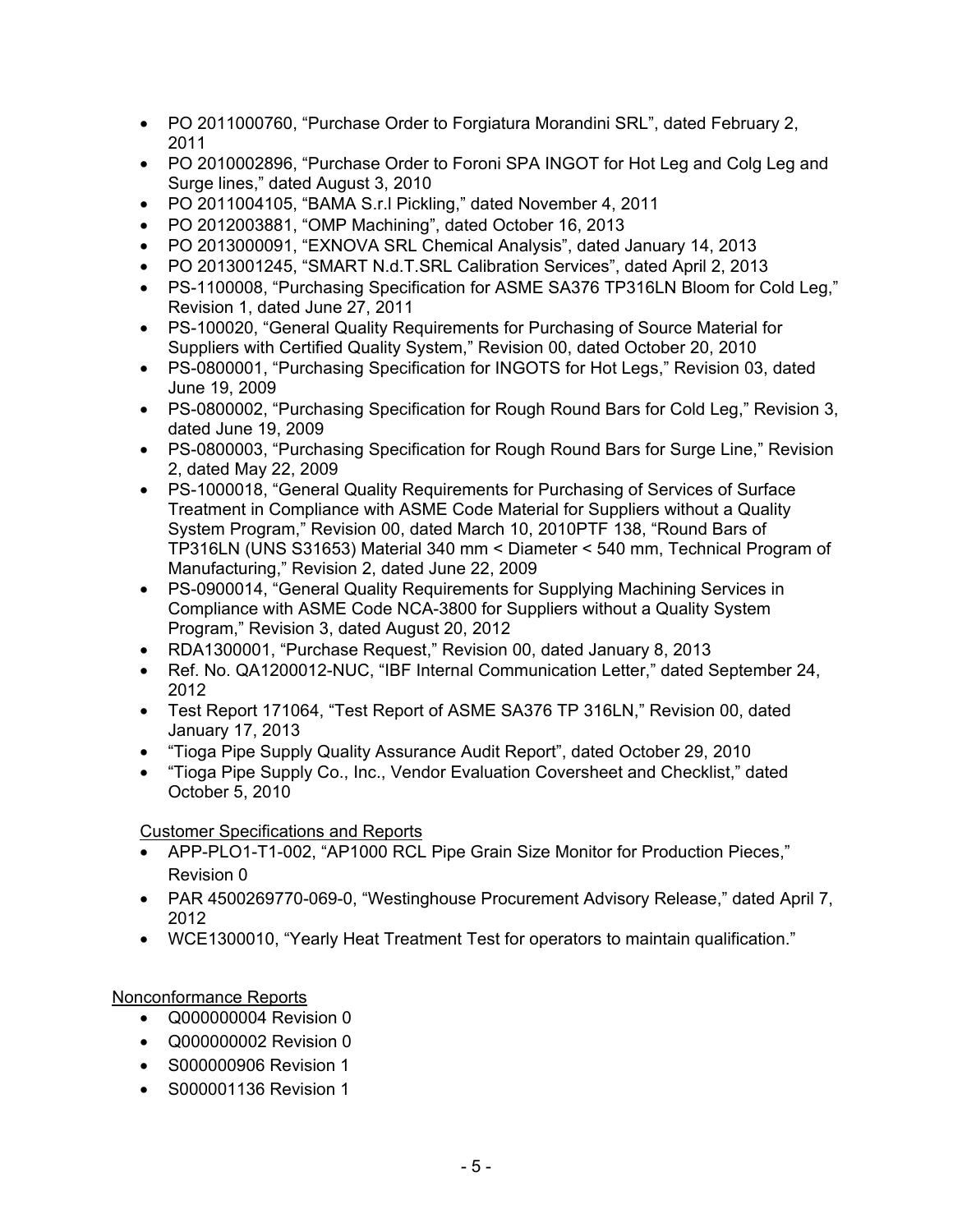- PO 2011000760, "Purchase Order to Forgiatura Morandini SRL", dated February 2, 2011
- PO 2010002896, "Purchase Order to Foroni SPA INGOT for Hot Leg and Colg Leg and Surge lines," dated August 3, 2010
- PO 2011004105, "BAMA S.r.l Pickling," dated November 4, 2011
- PO 2012003881, "OMP Machining", dated October 16, 2013
- PO 2013000091, "EXNOVA SRL Chemical Analysis", dated January 14, 2013
- PO 2013001245, "SMART N.d.T.SRL Calibration Services", dated April 2, 2013
- PS-1100008, "Purchasing Specification for ASME SA376 TP316LN Bloom for Cold Leg," Revision 1, dated June 27, 2011
- PS-100020, "General Quality Requirements for Purchasing of Source Material for Suppliers with Certified Quality System," Revision 00, dated October 20, 2010
- PS-0800001, "Purchasing Specification for INGOTS for Hot Legs," Revision 03, dated June 19, 2009
- PS-0800002, "Purchasing Specification for Rough Round Bars for Cold Leg," Revision 3, dated June 19, 2009
- PS-0800003, "Purchasing Specification for Rough Round Bars for Surge Line," Revision 2, dated May 22, 2009
- PS-1000018, "General Quality Requirements for Purchasing of Services of Surface Treatment in Compliance with ASME Code Material for Suppliers without a Quality System Program," Revision 00, dated March 10, 2010PTF 138, "Round Bars of TP316LN (UNS S31653) Material 340 mm < Diameter < 540 mm, Technical Program of Manufacturing," Revision 2, dated June 22, 2009
- PS-0900014, "General Quality Requirements for Supplying Machining Services in Compliance with ASME Code NCA-3800 for Suppliers without a Quality System Program," Revision 3, dated August 20, 2012
- RDA1300001, "Purchase Request," Revision 00, dated January 8, 2013
- Ref. No. QA1200012-NUC, "IBF Internal Communication Letter," dated September 24, 2012
- Test Report 171064, "Test Report of ASME SA376 TP 316LN," Revision 00, dated January 17, 2013
- "Tioga Pipe Supply Quality Assurance Audit Report", dated October 29, 2010
- "Tioga Pipe Supply Co., Inc., Vendor Evaluation Coversheet and Checklist," dated October 5, 2010

## Customer Specifications and Reports

- APP-PLO1-T1-002, "AP1000 RCL Pipe Grain Size Monitor for Production Pieces," Revision 0
- PAR 4500269770-069-0, "Westinghouse Procurement Advisory Release," dated April 7, 2012
- WCE1300010, "Yearly Heat Treatment Test for operators to maintain qualification."

# Nonconformance Reports

- Q000000004 Revision 0
- Q000000002 Revision 0
- S000000906 Revision 1
- S000001136 Revision 1